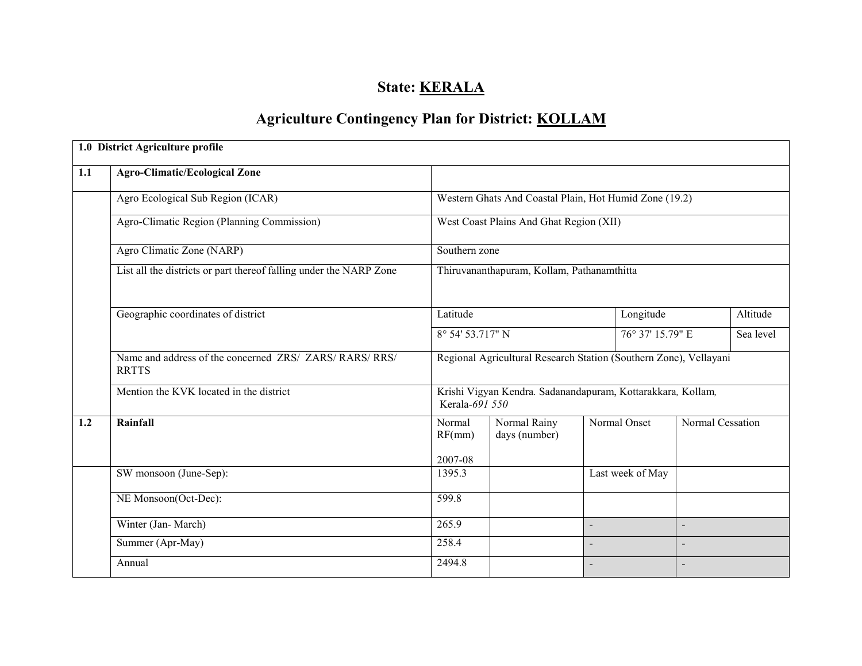# State: **KERALA**

# Agriculture Contingency Plan for District: KOLLAM

|     | 1.0 District Agriculture profile                                        |                                                                               |                                                        |                                                                   |                  |                  |           |  |  |
|-----|-------------------------------------------------------------------------|-------------------------------------------------------------------------------|--------------------------------------------------------|-------------------------------------------------------------------|------------------|------------------|-----------|--|--|
| 1.1 | <b>Agro-Climatic/Ecological Zone</b>                                    |                                                                               |                                                        |                                                                   |                  |                  |           |  |  |
|     | Agro Ecological Sub Region (ICAR)                                       |                                                                               | Western Ghats And Coastal Plain, Hot Humid Zone (19.2) |                                                                   |                  |                  |           |  |  |
|     | Agro-Climatic Region (Planning Commission)                              |                                                                               | West Coast Plains And Ghat Region (XII)                |                                                                   |                  |                  |           |  |  |
|     | Agro Climatic Zone (NARP)                                               |                                                                               | Southern zone                                          |                                                                   |                  |                  |           |  |  |
|     | List all the districts or part thereof falling under the NARP Zone      | Thiruvananthapuram, Kollam, Pathanamthitta                                    |                                                        |                                                                   |                  |                  |           |  |  |
|     | Geographic coordinates of district                                      |                                                                               |                                                        |                                                                   | Longitude        |                  | Altitude  |  |  |
|     |                                                                         | 8° 54' 53.717" N                                                              |                                                        | 76° 37' 15.79" E                                                  |                  |                  | Sea level |  |  |
|     | Name and address of the concerned ZRS/ ZARS/ RARS/ RRS/<br><b>RRTTS</b> |                                                                               |                                                        | Regional Agricultural Research Station (Southern Zone), Vellayani |                  |                  |           |  |  |
|     | Mention the KVK located in the district                                 | Krishi Vigyan Kendra. Sadanandapuram, Kottarakkara, Kollam,<br>Kerala-691 550 |                                                        |                                                                   |                  |                  |           |  |  |
| 1.2 | Rainfall                                                                | Normal<br>RF(mm)                                                              | Normal Rainy<br>days (number)                          |                                                                   | Normal Onset     | Normal Cessation |           |  |  |
|     |                                                                         | 2007-08                                                                       |                                                        |                                                                   |                  |                  |           |  |  |
|     | SW monsoon (June-Sep):                                                  | 1395.3                                                                        |                                                        |                                                                   | Last week of May |                  |           |  |  |
|     | NE Monsoon(Oct-Dec):                                                    | 599.8                                                                         |                                                        |                                                                   |                  |                  |           |  |  |
|     | Winter (Jan-March)                                                      | 265.9                                                                         |                                                        | $\overline{a}$                                                    |                  | $\blacksquare$   |           |  |  |
|     | Summer (Apr-May)                                                        | 258.4                                                                         |                                                        | $\blacksquare$                                                    |                  |                  |           |  |  |
|     | Annual                                                                  | 2494.8                                                                        |                                                        | $\blacksquare$                                                    |                  |                  |           |  |  |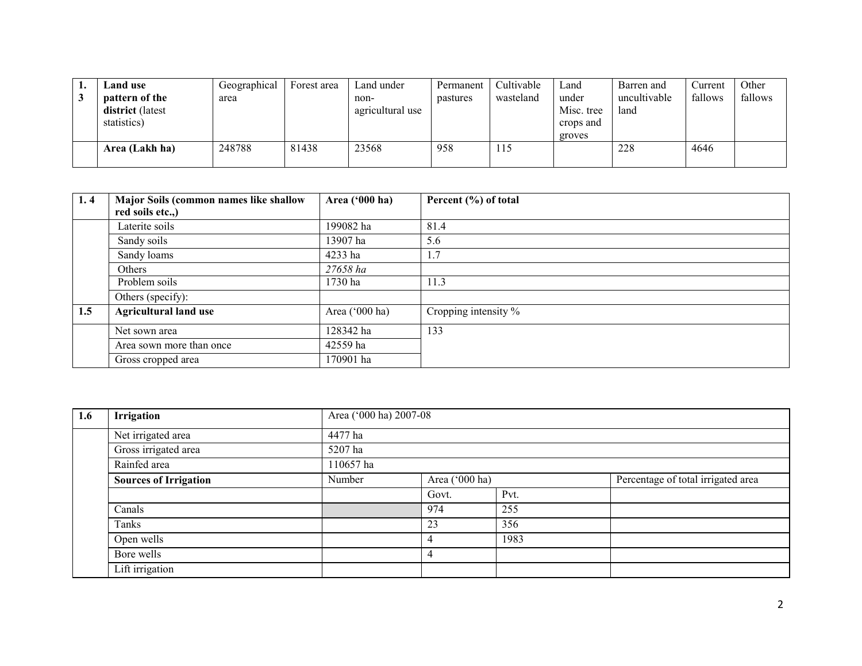| <b>Land use</b>  | Geographical | Forest area | Land under       | Permanent | Cultivable | Land       | Barren and   | Current | Other   |
|------------------|--------------|-------------|------------------|-----------|------------|------------|--------------|---------|---------|
| pattern of the   | area         |             | non-             | pastures  | wasteland  | under      | uncultivable | fallows | fallows |
| district (latest |              |             | agricultural use |           |            | Misc. tree | land         |         |         |
| statistics)      |              |             |                  |           |            | crops and  |              |         |         |
|                  |              |             |                  |           |            | groves     |              |         |         |
| Area (Lakh ha)   | 248788       | 81438       | 23568            | 958       | 115        |            | 228          | 4646    |         |
|                  |              |             |                  |           |            |            |              |         |         |

| 1, 4 | Major Soils (common names like shallow<br>red soils etc.,) | Area ('000 ha) | Percent (%) of total |
|------|------------------------------------------------------------|----------------|----------------------|
|      | Laterite soils                                             | 199082 ha      | 81.4                 |
|      | Sandy soils                                                | 13907 ha       | 5.6                  |
|      | Sandy loams                                                | 4233 ha        | 1.7                  |
|      | Others                                                     | 27658 ha       |                      |
|      | Problem soils                                              | 1730 ha        | 11.3                 |
|      | Others (specify):                                          |                |                      |
| 1.5  | <b>Agricultural land use</b>                               | Area ('000 ha) | Cropping intensity % |
|      | Net sown area                                              | 128342 ha      | 133                  |
|      | Area sown more than once                                   | 42559 ha       |                      |
|      | Gross cropped area                                         | 170901 ha      |                      |

| 1.6 | Irrigation                   |           | Area ('000 ha) 2007-08 |      |                                    |  |  |  |  |
|-----|------------------------------|-----------|------------------------|------|------------------------------------|--|--|--|--|
|     | Net irrigated area           | 4477 ha   |                        |      |                                    |  |  |  |  |
|     | Gross irrigated area         | 5207 ha   |                        |      |                                    |  |  |  |  |
|     | Rainfed area                 | 110657 ha |                        |      |                                    |  |  |  |  |
|     | <b>Sources of Irrigation</b> | Number    | Area ('000 ha)         |      | Percentage of total irrigated area |  |  |  |  |
|     |                              |           | Govt.                  | Pvt. |                                    |  |  |  |  |
|     | Canals                       |           | 974                    | 255  |                                    |  |  |  |  |
|     | Tanks                        |           | 23                     | 356  |                                    |  |  |  |  |
|     | Open wells                   |           |                        | 1983 |                                    |  |  |  |  |
|     | Bore wells                   |           | 4                      |      |                                    |  |  |  |  |
|     | Lift irrigation              |           |                        |      |                                    |  |  |  |  |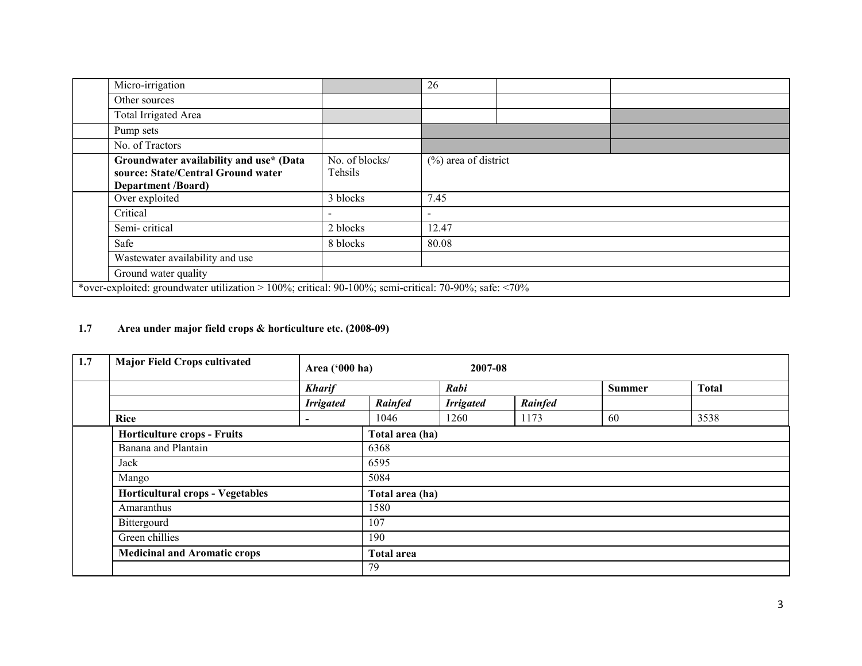| Micro-irrigation                                                                                           |                           | 26                       |  |  |  |  |  |  |
|------------------------------------------------------------------------------------------------------------|---------------------------|--------------------------|--|--|--|--|--|--|
| Other sources                                                                                              |                           |                          |  |  |  |  |  |  |
| Total Irrigated Area                                                                                       |                           |                          |  |  |  |  |  |  |
| Pump sets                                                                                                  |                           |                          |  |  |  |  |  |  |
| No. of Tractors                                                                                            |                           |                          |  |  |  |  |  |  |
| Groundwater availability and use* (Data<br>source: State/Central Ground water<br><b>Department /Board)</b> | No. of blocks/<br>Tehsils | $(\%)$ area of district  |  |  |  |  |  |  |
| Over exploited                                                                                             | 3 blocks                  | 7.45                     |  |  |  |  |  |  |
| Critical                                                                                                   | $\overline{\phantom{a}}$  | $\overline{\phantom{0}}$ |  |  |  |  |  |  |
| Semi-critical                                                                                              | 2 blocks                  | 12.47                    |  |  |  |  |  |  |
| Safe                                                                                                       | 8 blocks                  | 80.08                    |  |  |  |  |  |  |
| Wastewater availability and use                                                                            |                           |                          |  |  |  |  |  |  |
| Ground water quality                                                                                       |                           |                          |  |  |  |  |  |  |
| *over-exploited: groundwater utilization > 100%; critical: 90-100%; semi-critical: 70-90%; safe: <70%      |                           |                          |  |  |  |  |  |  |
|                                                                                                            |                           |                          |  |  |  |  |  |  |

#### 1.7 Area under major field crops & horticulture etc. (2008-09)

| 1.7 | <b>Major Field Crops cultivated</b>                       | 2007-08<br>Area ('000 ha) |                   |                  |         |               |              |  |  |
|-----|-----------------------------------------------------------|---------------------------|-------------------|------------------|---------|---------------|--------------|--|--|
|     |                                                           | <b>Kharif</b>             |                   | Rabi             |         | <b>Summer</b> | <b>Total</b> |  |  |
|     |                                                           | <b>Irrigated</b>          | Rainfed           | <b>Irrigated</b> | Rainfed |               |              |  |  |
|     | <b>Rice</b>                                               | $\overline{\phantom{0}}$  | 1046              | 1260             | 1173    | 60            | 3538         |  |  |
|     | <b>Horticulture crops - Fruits</b><br>Banana and Plantain |                           | Total area (ha)   |                  |         |               |              |  |  |
|     |                                                           |                           | 6368              |                  |         |               |              |  |  |
|     | Jack                                                      |                           | 6595              |                  |         |               |              |  |  |
|     | Mango                                                     |                           | 5084              |                  |         |               |              |  |  |
|     | <b>Horticultural crops - Vegetables</b>                   |                           | Total area (ha)   |                  |         |               |              |  |  |
|     | Amaranthus                                                |                           | 1580              |                  |         |               |              |  |  |
|     | Bittergourd                                               |                           | 107               |                  |         |               |              |  |  |
|     | Green chillies                                            |                           | 190               |                  |         |               |              |  |  |
|     | <b>Medicinal and Aromatic crops</b>                       |                           | <b>Total area</b> |                  |         |               |              |  |  |
|     |                                                           |                           | 79                |                  |         |               |              |  |  |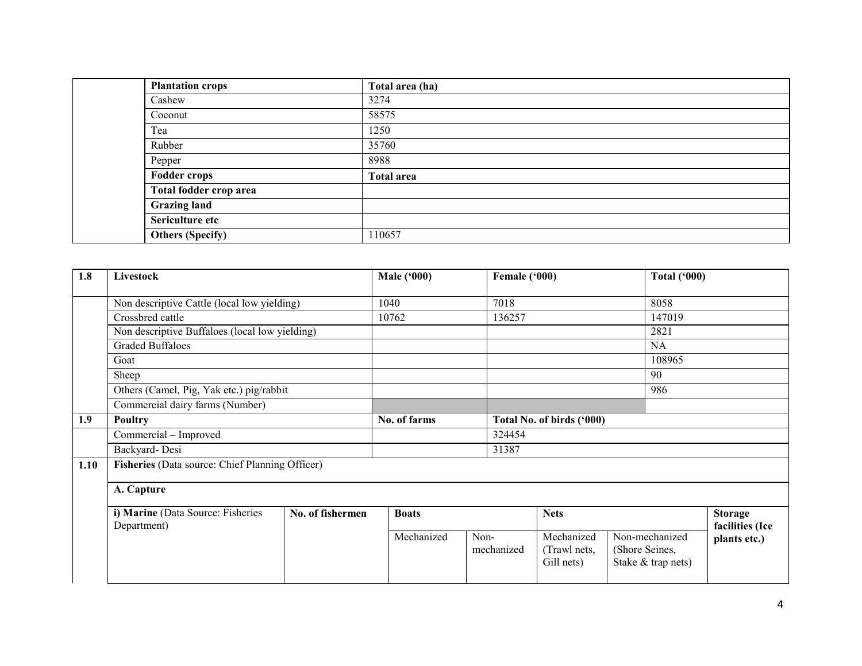| <b>Plantation crops</b> | Total area (ha)   |
|-------------------------|-------------------|
| Cashew                  | 3274              |
| Coconut                 | 58575             |
| Tea                     | 1250              |
| Rubber                  | 35760             |
| Pepper                  | 8988              |
| <b>Fodder crops</b>     | <b>Total area</b> |
| Total fodder crop area  |                   |
| <b>Grazing land</b>     |                   |
| Sericulture etc         |                   |
| <b>Others (Specify)</b> | 110657            |

| 1.8  | Livestock                                                            |  |  | <b>Male ('000)</b> |      | Female ('000) |                                          |     | <b>Total ('000)</b>                                    |                                   |
|------|----------------------------------------------------------------------|--|--|--------------------|------|---------------|------------------------------------------|-----|--------------------------------------------------------|-----------------------------------|
|      | Non descriptive Cattle (local low yielding)                          |  |  | 1040               |      | 7018          |                                          |     | 8058                                                   |                                   |
|      | Crossbred cattle                                                     |  |  | 10762              |      | 136257        |                                          |     | 147019                                                 |                                   |
|      | Non descriptive Buffaloes (local low yielding)                       |  |  |                    |      |               |                                          |     | 2821                                                   |                                   |
|      | <b>Graded Buffaloes</b>                                              |  |  |                    |      |               |                                          |     | <b>NA</b>                                              |                                   |
|      | Goat                                                                 |  |  |                    |      |               |                                          |     | 108965                                                 |                                   |
|      | Sheep                                                                |  |  |                    |      |               |                                          |     | 90                                                     |                                   |
|      | Others (Camel, Pig, Yak etc.) pig/rabbit                             |  |  |                    |      |               |                                          | 986 |                                                        |                                   |
|      | Commercial dairy farms (Number)                                      |  |  |                    |      |               |                                          |     |                                                        |                                   |
| 1.9  | Poultry                                                              |  |  | No. of farms       |      |               | Total No. of birds ('000)                |     |                                                        |                                   |
|      | Commercial - Improved                                                |  |  |                    |      | 324454        |                                          |     |                                                        |                                   |
|      | Backyard-Desi                                                        |  |  |                    |      | 31387         |                                          |     |                                                        |                                   |
| 1.10 | Fisheries (Data source: Chief Planning Officer)                      |  |  |                    |      |               |                                          |     |                                                        |                                   |
|      | A. Capture                                                           |  |  |                    |      |               |                                          |     |                                                        |                                   |
|      | i) Marine (Data Source: Fisheries<br>No. of fishermen<br>Department) |  |  | <b>Boats</b>       |      |               | <b>Nets</b>                              |     |                                                        | <b>Storage</b><br>facilities (Ice |
|      |                                                                      |  |  | Mechanized         | Non- | mechanized    | Mechanized<br>(Trawl nets,<br>Gill nets) |     | Non-mechanized<br>(Shore Seines,<br>Stake & trap nets) | plants etc.)                      |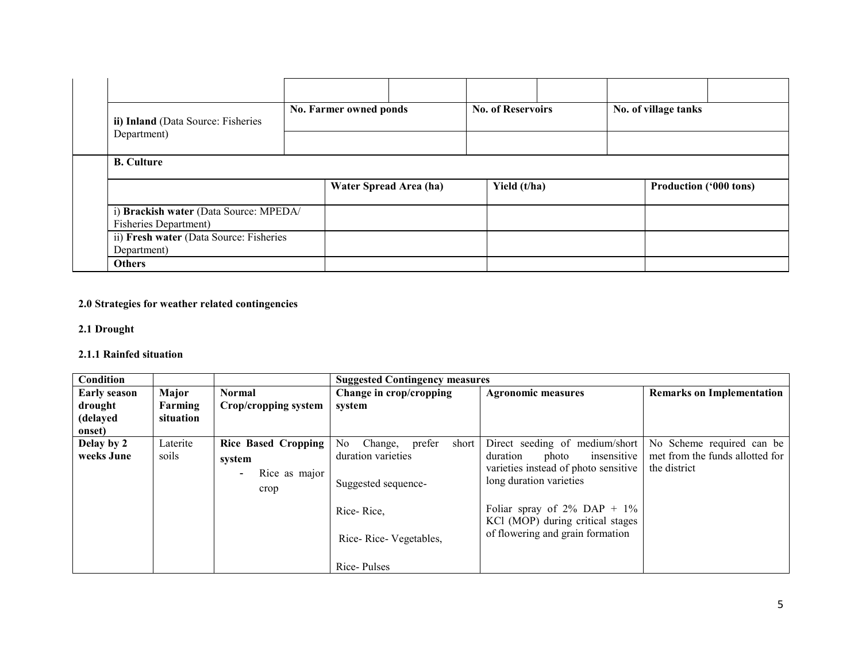|  | ii) Inland (Data Source: Fisheries                                     |  | No. Farmer owned ponds |                        | <b>No. of Reservoirs</b> |  | No. of village tanks |                               |  |  |
|--|------------------------------------------------------------------------|--|------------------------|------------------------|--------------------------|--|----------------------|-------------------------------|--|--|
|  | Department)                                                            |  |                        |                        |                          |  |                      |                               |  |  |
|  | <b>B.</b> Culture                                                      |  |                        |                        |                          |  |                      |                               |  |  |
|  |                                                                        |  |                        | Water Spread Area (ha) | Yield (t/ha)             |  |                      | <b>Production ('000 tons)</b> |  |  |
|  | i) Brackish water (Data Source: MPEDA/<br><b>Fisheries Department)</b> |  |                        |                        |                          |  |                      |                               |  |  |
|  | ii) Fresh water (Data Source: Fisheries<br>Department)                 |  |                        |                        |                          |  |                      |                               |  |  |
|  | <b>Others</b>                                                          |  |                        |                        |                          |  |                      |                               |  |  |

### 2.0 Strategies for weather related contingencies

#### 2.1 Drought

### 2.1.1 Rainfed situation

| Condition                      |                   |                                                                                           | <b>Suggested Contingency measures</b>                                         |                                                                                                                                       |                                                                              |  |  |  |  |  |
|--------------------------------|-------------------|-------------------------------------------------------------------------------------------|-------------------------------------------------------------------------------|---------------------------------------------------------------------------------------------------------------------------------------|------------------------------------------------------------------------------|--|--|--|--|--|
| <b>Early season</b><br>drought | Major<br>Farming  | <b>Normal</b><br>Crop/cropping system                                                     | Change in crop/cropping<br>system                                             | <b>Agronomic measures</b>                                                                                                             | <b>Remarks on Implementation</b>                                             |  |  |  |  |  |
| (delayed<br>onset)             | situation         |                                                                                           |                                                                               |                                                                                                                                       |                                                                              |  |  |  |  |  |
| Delay by 2<br>weeks June       | Laterite<br>soils | <b>Rice Based Cropping</b><br>system<br>Rice as major<br>$\overline{\phantom{a}}$<br>crop | No<br>prefer<br>short<br>Change,<br>duration varieties<br>Suggested sequence- | Direct seeding of medium/short<br>insensitive<br>duration<br>photo<br>varieties instead of photo sensitive<br>long duration varieties | No Scheme required can be<br>met from the funds allotted for<br>the district |  |  |  |  |  |
|                                |                   |                                                                                           | Rice-Rice,<br>Rice-Rice-Vegetables,                                           | Foliar spray of $2\%$ DAP + $1\%$<br>KCl (MOP) during critical stages<br>of flowering and grain formation                             |                                                                              |  |  |  |  |  |
|                                |                   |                                                                                           | Rice-Pulses                                                                   |                                                                                                                                       |                                                                              |  |  |  |  |  |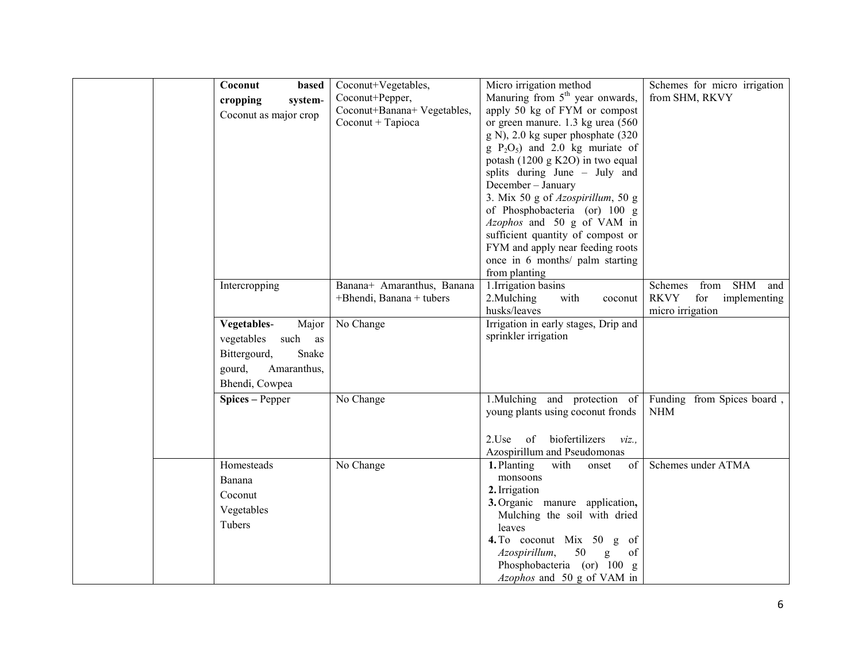| Coconut<br>based<br>cropping<br>system-<br>Coconut as major crop                                                  | Coconut+Vegetables,<br>Coconut+Pepper,<br>Coconut+Banana+ Vegetables,<br>Coconut + Tapioca | Micro irrigation method<br>Manuring from 5 <sup>th</sup> year onwards,<br>apply 50 kg of FYM or compost<br>or green manure. 1.3 kg urea (560)<br>g N), 2.0 kg super phosphate (320<br>$g P2O5$ and 2.0 kg muriate of<br>potash (1200 g K2O) in two equal<br>splits during June - July and<br>December - January<br>3. Mix 50 g of Azospirillum, 50 g<br>of Phosphobacteria (or) 100 g<br>Azophos and 50 g of VAM in<br>sufficient quantity of compost or<br>FYM and apply near feeding roots<br>once in 6 months/ palm starting<br>from planting | Schemes for micro irrigation<br>from SHM, RKVY                                    |
|-------------------------------------------------------------------------------------------------------------------|--------------------------------------------------------------------------------------------|--------------------------------------------------------------------------------------------------------------------------------------------------------------------------------------------------------------------------------------------------------------------------------------------------------------------------------------------------------------------------------------------------------------------------------------------------------------------------------------------------------------------------------------------------|-----------------------------------------------------------------------------------|
| Intercropping                                                                                                     | Banana+ Amaranthus, Banana<br>+Bhendi, Banana + tubers                                     | 1. Irrigation basins<br>2. Mulching<br>with<br>coconut<br>husks/leaves                                                                                                                                                                                                                                                                                                                                                                                                                                                                           | from SHM and<br>Schemes<br><b>RKVY</b><br>for<br>implementing<br>micro irrigation |
| Vegetables-<br>Major<br>vegetables<br>such as<br>Bittergourd,<br>Snake<br>Amaranthus,<br>gourd,<br>Bhendi, Cowpea | No Change                                                                                  | Irrigation in early stages, Drip and<br>sprinkler irrigation                                                                                                                                                                                                                                                                                                                                                                                                                                                                                     |                                                                                   |
| Spices – Pepper                                                                                                   | No Change                                                                                  | 1. Mulching and protection of<br>young plants using coconut fronds<br>of biofertilizers<br>$2$ Use<br>viz.<br>Azospirillum and Pseudomonas                                                                                                                                                                                                                                                                                                                                                                                                       | Funding from Spices board,<br><b>NHM</b>                                          |
| Homesteads<br>Banana<br>Coconut<br>Vegetables<br>Tubers                                                           | No Change                                                                                  | 1. Planting<br>with<br>of<br>onset<br>monsoons<br>2. Irrigation<br>3. Organic manure application,<br>Mulching the soil with dried<br>leaves<br>4. To coconut Mix 50 g of<br>50<br>$\mathbf{g}$<br>Azospirillum,<br>of<br>Phosphobacteria (or) 100 g<br>Azophos and 50 g of VAM in                                                                                                                                                                                                                                                                | Schemes under ATMA                                                                |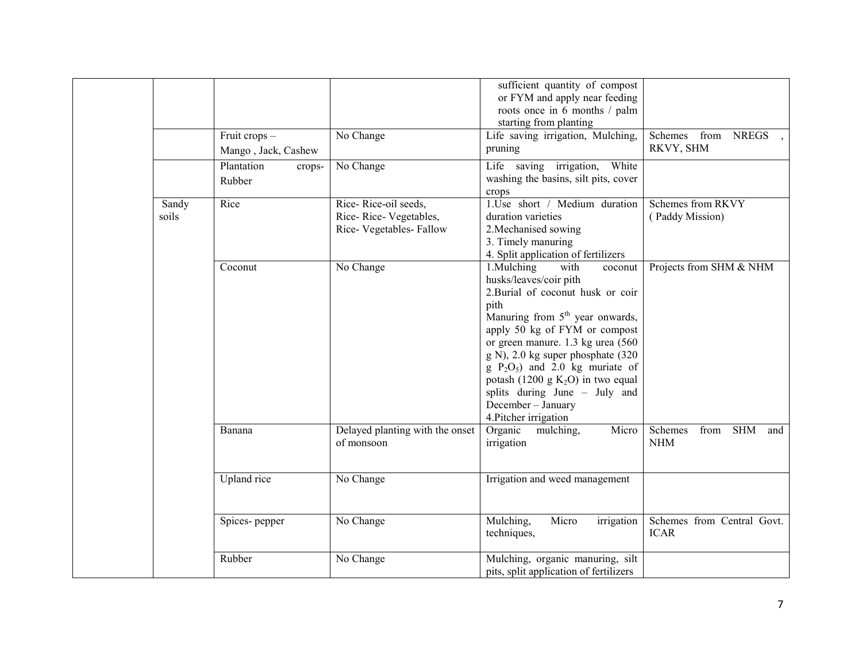|                |                                      |                                                                         | sufficient quantity of compost<br>or FYM and apply near feeding<br>roots once in 6 months / palm<br>starting from planting                                                                                                                                                                                                                                                                                       |                                           |
|----------------|--------------------------------------|-------------------------------------------------------------------------|------------------------------------------------------------------------------------------------------------------------------------------------------------------------------------------------------------------------------------------------------------------------------------------------------------------------------------------------------------------------------------------------------------------|-------------------------------------------|
|                | Fruit crops -<br>Mango, Jack, Cashew | No Change                                                               | Life saving irrigation, Mulching,<br>pruning                                                                                                                                                                                                                                                                                                                                                                     | Schemes from NREGS<br>RKVY, SHM           |
|                | Plantation<br>crops-<br>Rubber       | No Change                                                               | Life saving irrigation, White<br>washing the basins, silt pits, cover<br>crops                                                                                                                                                                                                                                                                                                                                   |                                           |
| Sandy<br>soils | Rice                                 | Rice-Rice-oil seeds,<br>Rice-Rice-Vegetables,<br>Rice-Vegetables-Fallow | 1.Use short / Medium duration<br>duration varieties<br>2. Mechanised sowing<br>3. Timely manuring<br>4. Split application of fertilizers                                                                                                                                                                                                                                                                         | Schemes from RKVY<br>(Paddy Mission)      |
|                | Coconut                              | No Change                                                               | 1.Mulching<br>with<br>coconut<br>husks/leaves/coir pith<br>2. Burial of coconut husk or coir<br>pith<br>Manuring from $5th$ year onwards,<br>apply 50 kg of FYM or compost<br>or green manure. 1.3 kg urea (560<br>g N), 2.0 kg super phosphate (320<br>$g P_2O_5$ and 2.0 kg muriate of<br>potash (1200 g $K_2O$ ) in two equal<br>splits during June - July and<br>December - January<br>4. Pitcher irrigation | Projects from SHM & NHM                   |
|                | Banana                               | Delayed planting with the onset<br>of monsoon                           | Organic<br>Micro<br>mulching,<br>irrigation                                                                                                                                                                                                                                                                                                                                                                      | from SHM<br>Schemes<br>and<br><b>NHM</b>  |
|                | Upland rice                          | No Change                                                               | Irrigation and weed management                                                                                                                                                                                                                                                                                                                                                                                   |                                           |
|                | Spices-pepper                        | No Change                                                               | Mulching,<br>Micro<br>irrigation<br>techniques,                                                                                                                                                                                                                                                                                                                                                                  | Schemes from Central Govt.<br><b>ICAR</b> |
|                | Rubber                               | No Change                                                               | Mulching, organic manuring, silt<br>pits, split application of fertilizers                                                                                                                                                                                                                                                                                                                                       |                                           |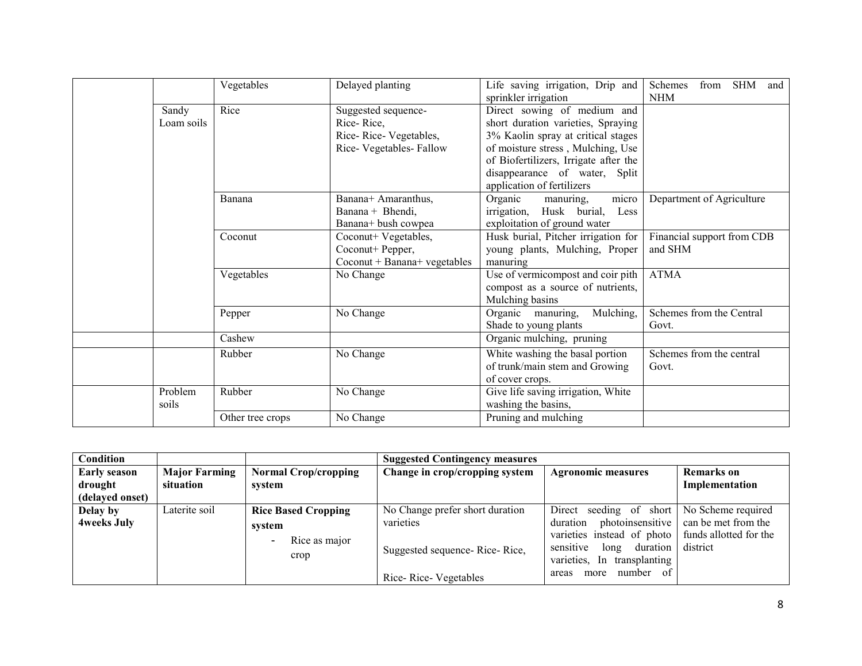|  |                     | Vegetables                                                                                                                                                               | Delayed planting                                                                                 | Life saving irrigation, Drip and<br>sprinkler irrigation                                                                                                                                                                                                                                                                                                                               | Schemes<br><b>SHM</b><br>from<br>and<br><b>NHM</b> |
|--|---------------------|--------------------------------------------------------------------------------------------------------------------------------------------------------------------------|--------------------------------------------------------------------------------------------------|----------------------------------------------------------------------------------------------------------------------------------------------------------------------------------------------------------------------------------------------------------------------------------------------------------------------------------------------------------------------------------------|----------------------------------------------------|
|  | Sandy<br>Loam soils | Rice<br>Suggested sequence-<br>Rice-Rice,<br>Rice-Rice-Vegetables,<br>Rice-Vegetables-Fallow<br>Banana+ Amaranthus,<br>Banana<br>Banana + Bhendi,<br>Banana+ bush cowpea |                                                                                                  | Direct sowing of medium and<br>short duration varieties, Spraying<br>3% Kaolin spray at critical stages<br>of moisture stress, Mulching, Use<br>of Biofertilizers, Irrigate after the<br>disappearance of water, Split<br>application of fertilizers<br>micro<br>Department of Agriculture<br>Organic<br>manuring.<br>irrigation, Husk burial,<br>Less<br>exploitation of ground water |                                                    |
|  |                     |                                                                                                                                                                          |                                                                                                  |                                                                                                                                                                                                                                                                                                                                                                                        |                                                    |
|  |                     | Coconut                                                                                                                                                                  | Coconut+ Vegetables,<br>Coconut+ Pepper,<br>$Co\text{count} + \text{Banana} + \text{vegetables}$ | Financial support from CDB<br>Husk burial, Pitcher irrigation for<br>and SHM<br>young plants, Mulching, Proper<br>manuring                                                                                                                                                                                                                                                             |                                                    |
|  |                     | Vegetables                                                                                                                                                               | No Change                                                                                        | Use of vermicompost and coir pith<br>compost as a source of nutrients,<br>Mulching basins                                                                                                                                                                                                                                                                                              | <b>ATMA</b>                                        |
|  |                     | Pepper                                                                                                                                                                   | No Change                                                                                        | Mulching,<br>Organic manuring,<br>Shade to young plants                                                                                                                                                                                                                                                                                                                                | Schemes from the Central<br>Govt.                  |
|  |                     | Cashew                                                                                                                                                                   |                                                                                                  | Organic mulching, pruning                                                                                                                                                                                                                                                                                                                                                              |                                                    |
|  |                     | Rubber                                                                                                                                                                   | No Change                                                                                        | White washing the basal portion<br>of trunk/main stem and Growing<br>of cover crops.                                                                                                                                                                                                                                                                                                   | Schemes from the central<br>Govt.                  |
|  | Problem<br>soils    | Rubber                                                                                                                                                                   | No Change                                                                                        | Give life saving irrigation, White<br>washing the basins,                                                                                                                                                                                                                                                                                                                              |                                                    |
|  |                     | Other tree crops                                                                                                                                                         | No Change                                                                                        | Pruning and mulching                                                                                                                                                                                                                                                                                                                                                                   |                                                    |

| Condition                      |                                   |                                                               | <b>Suggested Contingency measures</b>                                                                 |                                                                                                                                                                                                                  |                                                           |
|--------------------------------|-----------------------------------|---------------------------------------------------------------|-------------------------------------------------------------------------------------------------------|------------------------------------------------------------------------------------------------------------------------------------------------------------------------------------------------------------------|-----------------------------------------------------------|
| <b>Early season</b><br>drought | <b>Major Farming</b><br>situation | <b>Normal Crop/cropping</b><br>system                         | Change in crop/cropping system                                                                        | <b>Agronomic measures</b>                                                                                                                                                                                        | <b>Remarks</b> on<br>Implementation                       |
| (delayed onset)                |                                   |                                                               |                                                                                                       |                                                                                                                                                                                                                  |                                                           |
| Delay by<br><b>4weeks July</b> | Laterite soil                     | <b>Rice Based Cropping</b><br>system<br>Rice as major<br>crop | No Change prefer short duration<br>varieties<br>Suggested sequence-Rice-Rice,<br>Rice-Rice-Vegetables | Direct seeding of short   No Scheme required<br>photoinsensitive<br>duration<br>varieties instead of photo<br>sensitive<br>duration<br>long<br>varieties.<br>In transplanting<br>number<br>- of<br>areas<br>more | can be met from the<br>funds allotted for the<br>district |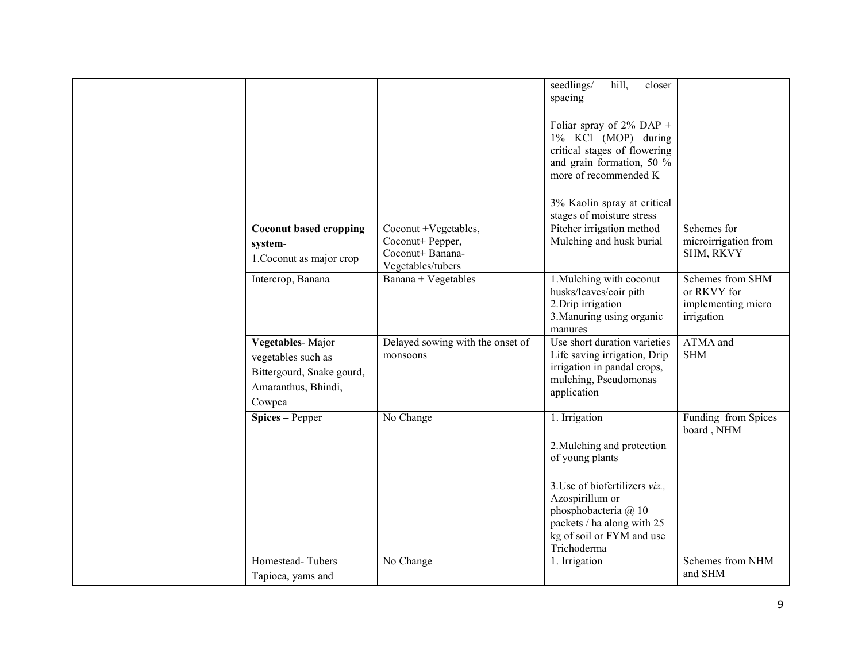|  |                                                                                                      |                                                           | seedlings/<br>hill,<br>closer<br>spacing<br>Foliar spray of $2\%$ DAP +<br>1% KCl (MOP) during<br>critical stages of flowering<br>and grain formation, 50 %<br>more of recommended K<br>3% Kaolin spray at critical<br>stages of moisture stress |                                                                     |
|--|------------------------------------------------------------------------------------------------------|-----------------------------------------------------------|--------------------------------------------------------------------------------------------------------------------------------------------------------------------------------------------------------------------------------------------------|---------------------------------------------------------------------|
|  | <b>Coconut based cropping</b>                                                                        | Coconut +Vegetables,                                      | Pitcher irrigation method                                                                                                                                                                                                                        | Schemes for                                                         |
|  | system-<br>1. Coconut as major crop                                                                  | Coconut+ Pepper,<br>Coconut+ Banana-<br>Vegetables/tubers | Mulching and husk burial                                                                                                                                                                                                                         | microirrigation from<br>SHM, RKVY                                   |
|  | Intercrop, Banana                                                                                    | Banana + Vegetables                                       | 1. Mulching with coconut<br>husks/leaves/coir pith<br>2. Drip irrigation<br>3. Manuring using organic<br>manures                                                                                                                                 | Schemes from SHM<br>or RKVY for<br>implementing micro<br>irrigation |
|  | Vegetables-Major<br>vegetables such as<br>Bittergourd, Snake gourd,<br>Amaranthus, Bhindi,<br>Cowpea | Delayed sowing with the onset of<br>monsoons              | Use short duration varieties<br>Life saving irrigation, Drip<br>irrigation in pandal crops,<br>mulching, Pseudomonas<br>application                                                                                                              | ATMA and<br><b>SHM</b>                                              |
|  | Spices - Pepper                                                                                      | No Change                                                 | 1. Irrigation<br>2. Mulching and protection<br>of young plants                                                                                                                                                                                   | Funding from Spices<br>board, NHM                                   |
|  |                                                                                                      |                                                           | 3. Use of biofertilizers viz.,<br>Azospirillum or<br>phosphobacteria @ 10<br>packets / ha along with 25<br>kg of soil or FYM and use<br>Trichoderma                                                                                              |                                                                     |
|  | Homestead-Tubers-<br>Tapioca, yams and                                                               | No Change                                                 | 1. Irrigation                                                                                                                                                                                                                                    | Schemes from NHM<br>and SHM                                         |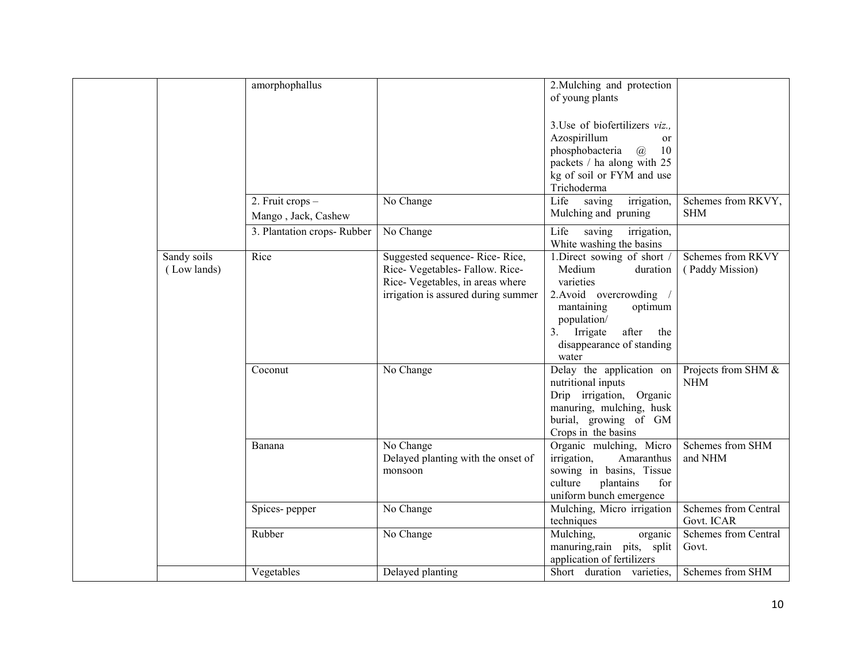|                            | amorphophallus                          |                                                                                                                                          | 2. Mulching and protection<br>of young plants                                                                                                                                                       |                                      |
|----------------------------|-----------------------------------------|------------------------------------------------------------------------------------------------------------------------------------------|-----------------------------------------------------------------------------------------------------------------------------------------------------------------------------------------------------|--------------------------------------|
|                            |                                         |                                                                                                                                          | 3. Use of biofertilizers viz.,<br>Azospirillum<br><sub>or</sub><br>phosphobacteria<br>10<br>$\mathcal{a}$<br>packets / ha along with 25<br>kg of soil or FYM and use<br>Trichoderma                 |                                      |
|                            | 2. Fruit crops -<br>Mango, Jack, Cashew | No Change                                                                                                                                | Life<br>saving<br>irrigation,<br>Mulching and pruning                                                                                                                                               | Schemes from RKVY,<br><b>SHM</b>     |
|                            | 3. Plantation crops-Rubber              | No Change                                                                                                                                | Life<br>saving<br>irrigation,<br>White washing the basins                                                                                                                                           |                                      |
| Sandy soils<br>(Low lands) | Rice                                    | Suggested sequence-Rice-Rice,<br>Rice-Vegetables-Fallow. Rice-<br>Rice-Vegetables, in areas where<br>irrigation is assured during summer | 1.Direct sowing of short /<br>Medium<br>duration<br>varieties<br>2. Avoid overcrowding<br>mantaining<br>optimum<br>population/<br>Irrigate<br>after the<br>3.<br>disappearance of standing<br>water | Schemes from RKVY<br>(Paddy Mission) |
|                            | Coconut                                 | No Change                                                                                                                                | Delay the application on<br>nutritional inputs<br>Drip irrigation, Organic<br>manuring, mulching, husk<br>burial, growing of GM<br>Crops in the basins                                              | Projects from SHM &<br><b>NHM</b>    |
|                            | Banana                                  | No Change<br>Delayed planting with the onset of<br>monsoon                                                                               | Organic mulching, Micro<br>irrigation,<br>Amaranthus<br>sowing in basins, Tissue<br>culture<br>plantains<br>for<br>uniform bunch emergence                                                          | Schemes from SHM<br>and NHM          |
|                            | Spices-pepper                           | No Change                                                                                                                                | Mulching, Micro irrigation<br>techniques                                                                                                                                                            | Schemes from Central<br>Govt. ICAR   |
|                            | Rubber                                  | No Change                                                                                                                                | Mulching,<br>organic<br>manuring, rain pits, split<br>application of fertilizers                                                                                                                    | Schemes from Central<br>Govt.        |
|                            | Vegetables                              | Delayed planting                                                                                                                         | Short duration varieties,                                                                                                                                                                           | Schemes from SHM                     |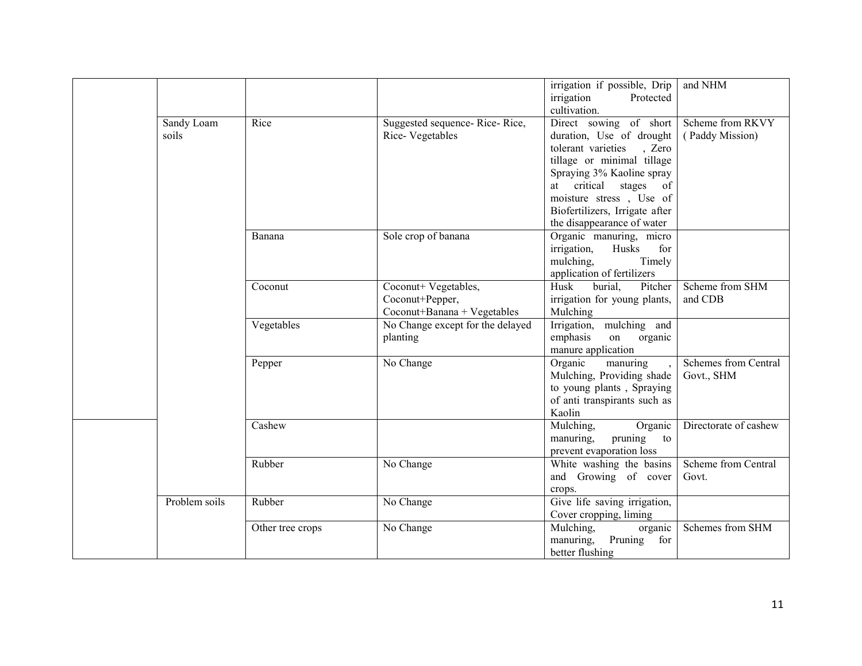|               |                  |                                  | irrigation if possible, Drip           | and NHM                    |
|---------------|------------------|----------------------------------|----------------------------------------|----------------------------|
|               |                  |                                  | irrigation<br>Protected                |                            |
|               |                  |                                  | cultivation.                           |                            |
| Sandy Loam    | Rice             | Suggested sequence-Rice-Rice,    | Direct sowing of short                 | Scheme from RKVY           |
| soils         |                  | Rice-Vegetables                  | duration, Use of drought               | (Paddy Mission)            |
|               |                  |                                  | tolerant varieties<br>, Zero           |                            |
|               |                  |                                  | tillage or minimal tillage             |                            |
|               |                  |                                  | Spraying 3% Kaoline spray              |                            |
|               |                  |                                  | at critical stages of                  |                            |
|               |                  |                                  | moisture stress, Use of                |                            |
|               |                  |                                  | Biofertilizers, Irrigate after         |                            |
|               |                  |                                  | the disappearance of water             |                            |
|               | Banana           | Sole crop of banana              | Organic manuring, micro                |                            |
|               |                  |                                  | Husks<br>irrigation,<br>for            |                            |
|               |                  |                                  | mulching,<br>Timely                    |                            |
|               |                  |                                  | application of fertilizers             |                            |
|               | Coconut          | Coconut+ Vegetables,             | burial.<br>Husk<br>Pitcher             | Scheme from SHM            |
|               |                  | Coconut+Pepper,                  | irrigation for young plants,           | and CDB                    |
|               |                  | Coconut+Banana + Vegetables      | Mulching                               |                            |
|               | Vegetables       | No Change except for the delayed | Irrigation, mulching and               |                            |
|               |                  | planting                         | emphasis<br>on<br>organic              |                            |
|               |                  |                                  | manure application                     |                            |
|               | Pepper           | No Change                        | Organic<br>manuring                    | Schemes from Central       |
|               |                  |                                  | Mulching, Providing shade              | Govt., SHM                 |
|               |                  |                                  | to young plants, Spraying              |                            |
|               |                  |                                  | of anti transpirants such as           |                            |
|               |                  |                                  | Kaolin                                 |                            |
|               | Cashew           |                                  | Mulching,<br>Organic                   | Directorate of cashew      |
|               |                  |                                  | manuring,<br>pruning<br>to             |                            |
|               |                  |                                  | prevent evaporation loss               |                            |
|               | Rubber           | No Change                        | White washing the basins               | <b>Scheme from Central</b> |
|               |                  |                                  | and Growing of cover                   | Govt.                      |
|               |                  |                                  |                                        |                            |
| Problem soils | Rubber           | No Change                        | crops.<br>Give life saving irrigation, |                            |
|               |                  |                                  |                                        |                            |
|               |                  |                                  | Cover cropping, liming<br>Mulching,    | Schemes from SHM           |
|               | Other tree crops | No Change                        | organic                                |                            |
|               |                  |                                  | manuring,<br>Pruning<br>for            |                            |
|               |                  |                                  | better flushing                        |                            |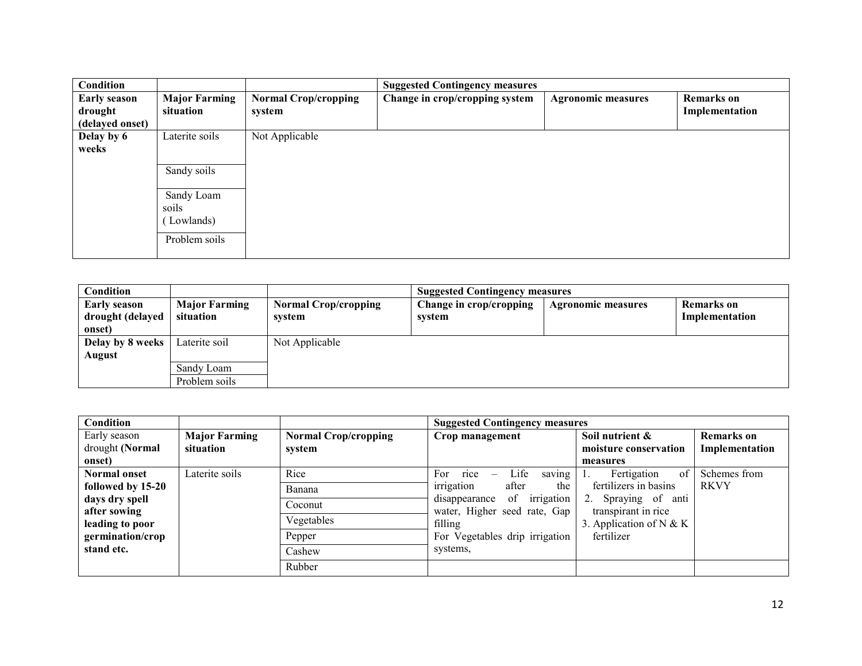| Condition           |                      |                             | <b>Suggested Contingency measures</b> |                           |                   |  |
|---------------------|----------------------|-----------------------------|---------------------------------------|---------------------------|-------------------|--|
| <b>Early season</b> | <b>Major Farming</b> | <b>Normal Crop/cropping</b> | Change in crop/cropping system        | <b>Agronomic measures</b> | <b>Remarks</b> on |  |
| drought             | situation            | system                      |                                       |                           | Implementation    |  |
| (delayed onset)     |                      |                             |                                       |                           |                   |  |
| Delay by 6          | Laterite soils       | Not Applicable              |                                       |                           |                   |  |
| weeks               |                      |                             |                                       |                           |                   |  |
|                     | Sandy soils          |                             |                                       |                           |                   |  |
|                     |                      |                             |                                       |                           |                   |  |
|                     | Sandy Loam           |                             |                                       |                           |                   |  |
|                     | soils                |                             |                                       |                           |                   |  |
|                     | Lowlands)            |                             |                                       |                           |                   |  |
|                     | Problem soils        |                             |                                       |                           |                   |  |
|                     |                      |                             |                                       |                           |                   |  |

| <b>Condition</b>                                  |                                   | <b>Suggested Contingency measures</b> |                                   |                           |                              |
|---------------------------------------------------|-----------------------------------|---------------------------------------|-----------------------------------|---------------------------|------------------------------|
| <b>Early season</b><br>drought (delayed<br>onset) | <b>Major Farming</b><br>situation | <b>Normal Crop/cropping</b><br>system | Change in crop/cropping<br>system | <b>Agronomic measures</b> | Remarks on<br>Implementation |
| Delay by 8 weeks                                  | Laterite soil                     | Not Applicable                        |                                   |                           |                              |
| August                                            |                                   |                                       |                                   |                           |                              |
|                                                   | Sandy Loam                        |                                       |                                   |                           |                              |
|                                                   | Problem soils                     |                                       |                                   |                           |                              |

| Condition                                           |                      |                             | <b>Suggested Contingency measures</b>                             |                                            |                   |
|-----------------------------------------------------|----------------------|-----------------------------|-------------------------------------------------------------------|--------------------------------------------|-------------------|
| Early season                                        | <b>Major Farming</b> | <b>Normal Crop/cropping</b> | Crop management                                                   | Soil nutrient &                            | <b>Remarks</b> on |
| drought (Normal                                     | situation            | system                      |                                                                   | moisture conservation                      | Implementation    |
| onset)                                              |                      |                             |                                                                   | measures                                   |                   |
| <b>Normal onset</b>                                 | Laterite soils       | Rice                        | rice<br>Life<br>For<br>saving<br>$\overline{\phantom{m}}$         | Fertigation<br>0f                          | Schemes from      |
| followed by 15-20                                   |                      | Banana                      | irrigation<br>the<br>after                                        | fertilizers in basins                      | <b>RKVY</b>       |
| days dry spell                                      |                      | Coconut                     | irrigation<br>of<br>disappearance<br>water, Higher seed rate, Gap | 2. Spraying of anti<br>transpirant in rice |                   |
| after sowing<br>leading to poor<br>germination/crop |                      | Vegetables                  | filling<br>For Vegetables drip irrigation                         | 3. Application of N & K                    |                   |
|                                                     |                      | Pepper                      |                                                                   | fertilizer                                 |                   |
| stand etc.                                          |                      | Cashew                      | systems,                                                          |                                            |                   |
|                                                     |                      | Rubber                      |                                                                   |                                            |                   |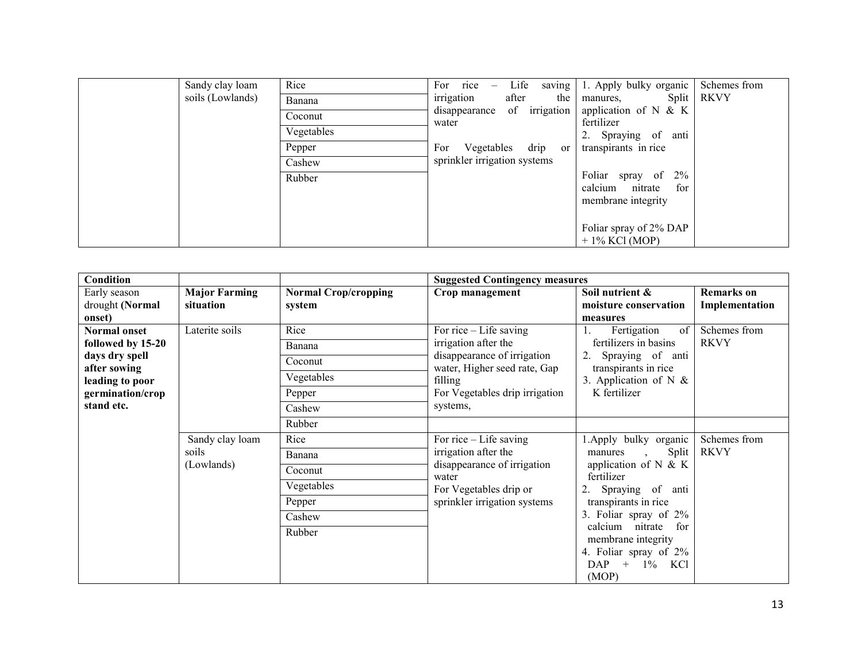| Sandy clay loam  | Rice       | Life<br>For rice<br>saving<br>$\hspace{0.1mm}-\hspace{0.1mm}$ | 1. Apply bulky organic                                                   | Schemes from |
|------------------|------------|---------------------------------------------------------------|--------------------------------------------------------------------------|--------------|
| soils (Lowlands) | Banana     | irrigation<br>after<br>the<br>disappearance of irrigation     | manures, Split RKVY                                                      |              |
|                  | Coconut    |                                                               | application of $N \& K$<br>fertilizer                                    |              |
|                  | Vegetables | water                                                         | 2. Spraying of anti                                                      |              |
|                  | Pepper     | For Vegetables drip or                                        | transpirants in rice                                                     |              |
|                  | Cashew     | sprinkler irrigation systems                                  |                                                                          |              |
|                  | Rubber     |                                                               | Foliar spray of<br>$2\%$<br>calcium nitrate<br>for<br>membrane integrity |              |
|                  |            |                                                               | Foliar spray of 2% DAP<br>$+1\%$ KCl (MOP)                               |              |

| <b>Condition</b>               |                      |                             | <b>Suggested Contingency measures</b>                       |                                                                       |                   |
|--------------------------------|----------------------|-----------------------------|-------------------------------------------------------------|-----------------------------------------------------------------------|-------------------|
| Early season                   | <b>Major Farming</b> | <b>Normal Crop/cropping</b> | Crop management                                             | Soil nutrient &                                                       | <b>Remarks</b> on |
| drought (Normal                | situation            | system                      |                                                             | moisture conservation                                                 | Implementation    |
| onset)                         |                      |                             |                                                             | measures                                                              |                   |
| <b>Normal onset</b>            | Laterite soils       | Rice                        | For rice $-$ Life saving                                    | Fertigation<br>of <sub>1</sub><br>$\mathbf{1}$ .                      | Schemes from      |
| followed by 15-20              |                      | Banana                      | irrigation after the                                        | fertilizers in basins                                                 | <b>RKVY</b>       |
| days dry spell<br>after sowing |                      | Coconut                     | disappearance of irrigation<br>water, Higher seed rate, Gap | Spraying of anti<br>transpirants in rice                              |                   |
| leading to poor                |                      | Vegetables                  | filling                                                     | 3. Application of N $\&$                                              |                   |
| germination/crop               |                      | Pepper                      | For Vegetables drip irrigation                              | K fertilizer                                                          |                   |
| stand etc.                     |                      | Cashew                      | systems,                                                    |                                                                       |                   |
|                                |                      | Rubber                      |                                                             |                                                                       |                   |
|                                | Sandy clay loam      | Rice                        | For rice $-$ Life saving                                    | 1. Apply bulky organic                                                | Schemes from      |
|                                | soils                | Banana                      | irrigation after the                                        | Split<br>manures<br>$\ddot{\phantom{0}}$                              | <b>RKVY</b>       |
|                                | (Lowlands)           | Coconut                     | disappearance of irrigation<br>water                        | application of $N$ & K<br>fertilizer                                  |                   |
|                                |                      | Vegetables                  | For Vegetables drip or                                      | Spraying of anti                                                      |                   |
|                                |                      | Pepper                      | sprinkler irrigation systems                                | transpirants in rice                                                  |                   |
|                                |                      | Cashew                      |                                                             | 3. Foliar spray of 2%                                                 |                   |
|                                |                      | Rubber                      |                                                             | calcium nitrate<br>for<br>membrane integrity<br>4. Foliar spray of 2% |                   |
|                                |                      |                             |                                                             | DAP<br>$+$<br>$1\%$ KCl<br>(MOP)                                      |                   |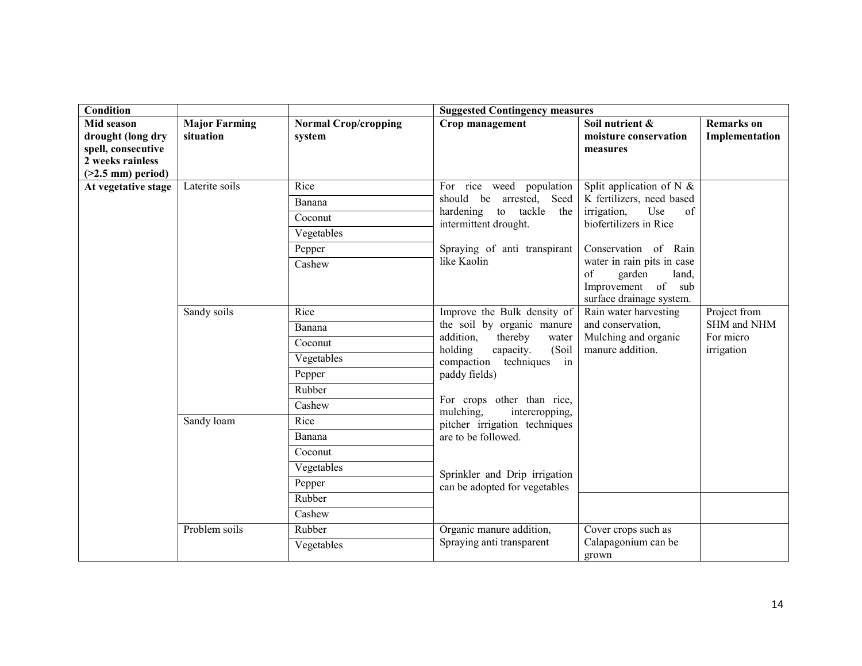| <b>Condition</b>    |                      |                             | <b>Suggested Contingency measures</b>                                                                                                                                          |                                                |                   |
|---------------------|----------------------|-----------------------------|--------------------------------------------------------------------------------------------------------------------------------------------------------------------------------|------------------------------------------------|-------------------|
| Mid season          | <b>Major Farming</b> | <b>Normal Crop/cropping</b> | Crop management                                                                                                                                                                | Soil nutrient &                                | <b>Remarks</b> on |
| drought (long dry   | situation            | system                      |                                                                                                                                                                                | moisture conservation                          | Implementation    |
| spell, consecutive  |                      |                             |                                                                                                                                                                                | measures                                       |                   |
| 2 weeks rainless    |                      |                             |                                                                                                                                                                                |                                                |                   |
| $(>2.5$ mm) period) | Laterite soils       | Rice                        | For rice weed population                                                                                                                                                       | Split application of N $\&$                    |                   |
| At vegetative stage |                      |                             | should be arrested, Seed                                                                                                                                                       | K fertilizers, need based                      |                   |
|                     |                      | Banana                      | hardening to tackle<br>the                                                                                                                                                     | Use<br>irrigation,<br>of                       |                   |
|                     |                      | Coconut                     | intermittent drought.                                                                                                                                                          | biofertilizers in Rice                         |                   |
|                     |                      | Vegetables                  |                                                                                                                                                                                |                                                |                   |
|                     |                      | Pepper                      | Spraying of anti transpirant                                                                                                                                                   | Conservation of Rain                           |                   |
|                     |                      | Cashew                      | like Kaolin                                                                                                                                                                    | water in rain pits in case                     |                   |
|                     |                      |                             |                                                                                                                                                                                | garden<br>of<br>land,<br>Improvement of<br>sub |                   |
|                     |                      |                             |                                                                                                                                                                                | surface drainage system.                       |                   |
|                     | Sandy soils          | Rice                        | Improve the Bulk density of<br>the soil by organic manure<br>thereby<br>addition,<br>water<br>holding<br>(Soil<br>capacity.<br>compaction<br>techniques<br>in<br>paddy fields) | Rain water harvesting                          | Project from      |
|                     |                      | Banana                      |                                                                                                                                                                                | and conservation,                              | SHM and NHM       |
|                     |                      | Coconut                     |                                                                                                                                                                                | Mulching and organic<br>manure addition.       | For micro         |
|                     |                      | Vegetables                  |                                                                                                                                                                                |                                                | irrigation        |
|                     |                      | Pepper                      |                                                                                                                                                                                |                                                |                   |
|                     |                      | Rubber                      |                                                                                                                                                                                |                                                |                   |
|                     |                      |                             | For crops other than rice,                                                                                                                                                     |                                                |                   |
|                     |                      | Cashew                      | mulching.<br>intercropping,                                                                                                                                                    |                                                |                   |
|                     | Sandy loam           | Rice                        | pitcher irrigation techniques                                                                                                                                                  |                                                |                   |
|                     |                      | Banana                      | are to be followed.                                                                                                                                                            |                                                |                   |
|                     |                      | Coconut                     |                                                                                                                                                                                |                                                |                   |
|                     |                      | Vegetables                  | Sprinkler and Drip irrigation                                                                                                                                                  |                                                |                   |
|                     |                      | Pepper                      | can be adopted for vegetables                                                                                                                                                  |                                                |                   |
|                     |                      | Rubber                      |                                                                                                                                                                                |                                                |                   |
|                     |                      | Cashew                      |                                                                                                                                                                                |                                                |                   |
|                     | Problem soils        | Rubber                      | Organic manure addition,                                                                                                                                                       | Cover crops such as                            |                   |
|                     |                      | Vegetables                  | Spraying anti transparent                                                                                                                                                      | Calapagonium can be                            |                   |
|                     |                      |                             |                                                                                                                                                                                | grown                                          |                   |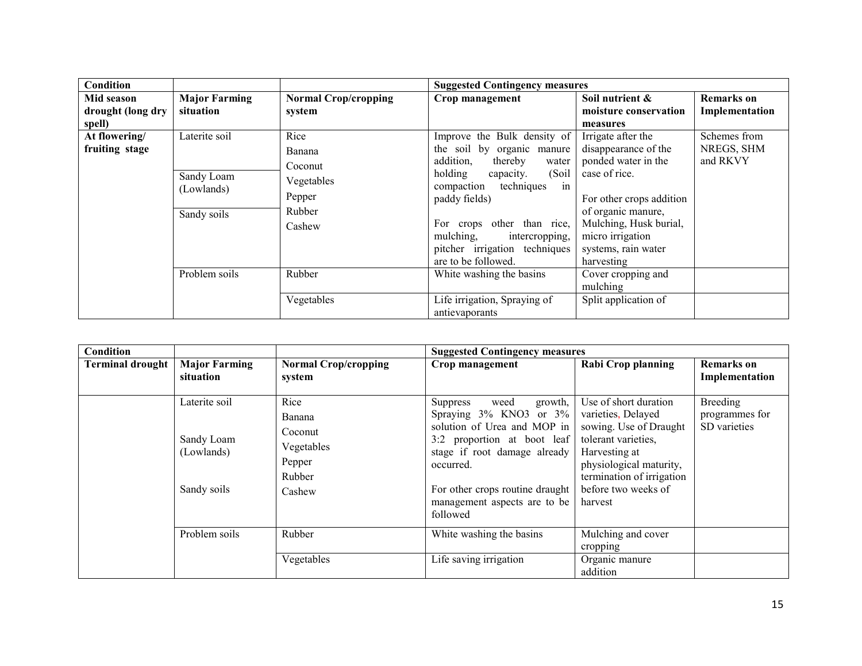| Condition         |                      |                             | <b>Suggested Contingency measures</b> |                          |                   |
|-------------------|----------------------|-----------------------------|---------------------------------------|--------------------------|-------------------|
| Mid season        | <b>Major Farming</b> | <b>Normal Crop/cropping</b> | Crop management                       | Soil nutrient &          | <b>Remarks</b> on |
| drought (long dry | situation            | system                      |                                       | moisture conservation    | Implementation    |
| spell)            |                      |                             |                                       | measures                 |                   |
| At flowering/     | Laterite soil        | Rice                        | Improve the Bulk density of           | Irrigate after the       | Schemes from      |
| fruiting stage    |                      | Banana                      | the soil by organic manure            | disappearance of the     | NREGS, SHM        |
|                   |                      | Coconut                     | addition,<br>thereby<br>water         | ponded water in the      | and RKVY          |
|                   | Sandy Loam           | Vegetables                  | holding<br>(Soil)<br>capacity.        | case of rice.            |                   |
|                   | (Lowlands)           |                             | in<br>techniques<br>compaction        |                          |                   |
|                   |                      | Pepper                      | paddy fields)                         | For other crops addition |                   |
|                   | Sandy soils          | Rubber                      |                                       | of organic manure,       |                   |
|                   |                      | Cashew                      | For crops other than rice,            | Mulching, Husk burial,   |                   |
|                   |                      |                             | mulching,<br>intercropping,           | micro irrigation         |                   |
|                   |                      |                             | pitcher irrigation techniques         | systems, rain water      |                   |
|                   |                      |                             | are to be followed.                   | harvesting               |                   |
|                   | Problem soils        | Rubber                      | White washing the basins              | Cover cropping and       |                   |
|                   |                      |                             |                                       | mulching                 |                   |
|                   |                      | Vegetables                  | Life irrigation, Spraying of          | Split application of     |                   |
|                   |                      |                             | antievaporants                        |                          |                   |

| Condition               |                                                          |                                                                       | <b>Suggested Contingency measures</b>                                                                                                                                                                                                           |                                                                                                                                                                                                         |                                                   |
|-------------------------|----------------------------------------------------------|-----------------------------------------------------------------------|-------------------------------------------------------------------------------------------------------------------------------------------------------------------------------------------------------------------------------------------------|---------------------------------------------------------------------------------------------------------------------------------------------------------------------------------------------------------|---------------------------------------------------|
| <b>Terminal drought</b> | <b>Major Farming</b><br>situation                        | <b>Normal Crop/cropping</b><br>system                                 | Crop management                                                                                                                                                                                                                                 | Rabi Crop planning                                                                                                                                                                                      | <b>Remarks</b> on<br>Implementation               |
|                         | Laterite soil<br>Sandy Loam<br>(Lowlands)<br>Sandy soils | Rice<br>Banana<br>Coconut<br>Vegetables<br>Pepper<br>Rubber<br>Cashew | growth,<br>Suppress<br>weed<br>Spraying 3% KNO3 or 3%<br>solution of Urea and MOP in<br>3:2 proportion at boot leaf<br>stage if root damage already<br>occurred.<br>For other crops routine draught<br>management aspects are to be<br>followed | Use of short duration<br>varieties, Delayed<br>sowing. Use of Draught<br>tolerant varieties.<br>Harvesting at<br>physiological maturity,<br>termination of irrigation<br>before two weeks of<br>harvest | <b>Breeding</b><br>programmes for<br>SD varieties |
|                         | Problem soils                                            | Rubber                                                                | White washing the basins                                                                                                                                                                                                                        | Mulching and cover<br>cropping                                                                                                                                                                          |                                                   |
|                         |                                                          | Vegetables                                                            | Life saving irrigation                                                                                                                                                                                                                          | Organic manure<br>addition                                                                                                                                                                              |                                                   |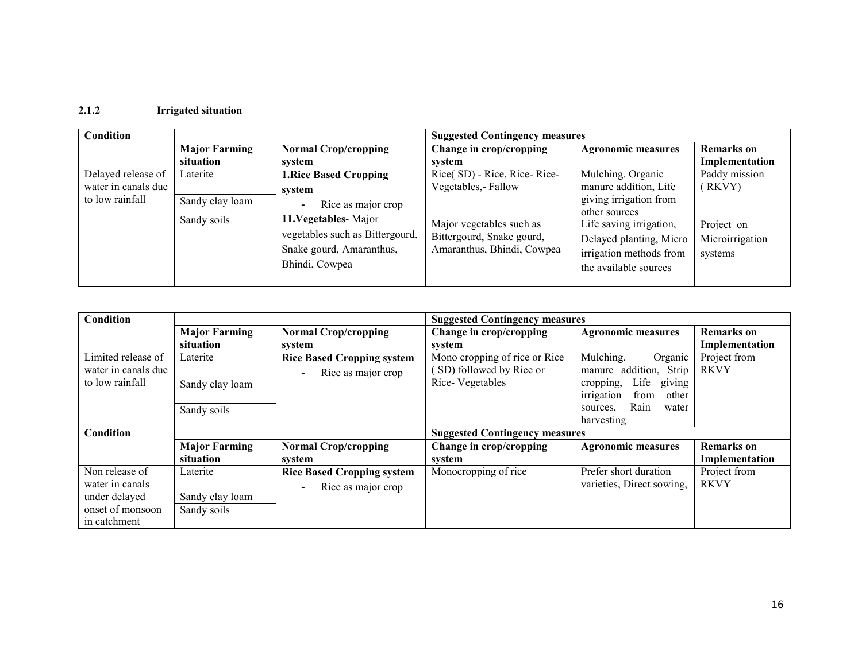### 2.1.2 Irrigated situation

| Condition                                                    |                                            |                                                                                                                                                        | <b>Suggested Contingency measures</b>                                                                                                      |                                                                                                                                                                        |                                                                     |
|--------------------------------------------------------------|--------------------------------------------|--------------------------------------------------------------------------------------------------------------------------------------------------------|--------------------------------------------------------------------------------------------------------------------------------------------|------------------------------------------------------------------------------------------------------------------------------------------------------------------------|---------------------------------------------------------------------|
|                                                              | <b>Major Farming</b>                       | <b>Normal Crop/cropping</b>                                                                                                                            | Change in crop/cropping                                                                                                                    | <b>Agronomic measures</b>                                                                                                                                              | <b>Remarks</b> on                                                   |
|                                                              | situation                                  | system                                                                                                                                                 | system                                                                                                                                     |                                                                                                                                                                        | Implementation                                                      |
| Delayed release of<br>water in canals due<br>to low rainfall | Laterite<br>Sandy clay loam<br>Sandy soils | <b>1. Rice Based Cropping</b><br>svstem<br>Rice as major crop<br>11. Vegetables - Major<br>vegetables such as Bittergourd,<br>Snake gourd, Amaranthus, | Rice(SD) - Rice, Rice-Rice-<br>Vegetables, - Fallow<br>Major vegetables such as<br>Bittergourd, Snake gourd,<br>Amaranthus, Bhindi, Cowpea | Mulching. Organic<br>manure addition, Life<br>giving irrigation from<br>other sources<br>Life saving irrigation,<br>Delayed planting, Micro<br>irrigation methods from | Paddy mission<br>(RKVY)<br>Project on<br>Microirrigation<br>systems |
|                                                              |                                            | Bhindi, Cowpea                                                                                                                                         |                                                                                                                                            | the available sources                                                                                                                                                  |                                                                     |

| Condition           |                      |                                                | <b>Suggested Contingency measures</b> |                             |                   |
|---------------------|----------------------|------------------------------------------------|---------------------------------------|-----------------------------|-------------------|
|                     | <b>Major Farming</b> | <b>Normal Crop/cropping</b>                    | Change in crop/cropping               | <b>Agronomic measures</b>   | <b>Remarks</b> on |
|                     | situation            | system                                         | system                                |                             | Implementation    |
| Limited release of  | Laterite             | <b>Rice Based Cropping system</b>              | Mono cropping of rice or Rice         | Mulching.<br>Organic        | Project from      |
| water in canals due |                      | Rice as major crop<br>$\overline{\phantom{a}}$ | SD) followed by Rice or               | manure addition, Strip      | <b>RKVY</b>       |
| to low rainfall     | Sandy clay loam      |                                                | Rice-Vegetables                       | Life<br>cropping,<br>giving |                   |
|                     |                      |                                                |                                       | from<br>other<br>irrigation |                   |
|                     | Sandy soils          |                                                |                                       | Rain<br>water<br>sources,   |                   |
|                     |                      |                                                |                                       | harvesting                  |                   |
| Condition           |                      |                                                | <b>Suggested Contingency measures</b> |                             |                   |
|                     | <b>Major Farming</b> | <b>Normal Crop/cropping</b>                    | Change in crop/cropping               | <b>Agronomic measures</b>   | <b>Remarks</b> on |
|                     | situation            | system                                         | system                                |                             | Implementation    |
| Non release of      | Laterite             | <b>Rice Based Cropping system</b>              | Monocropping of rice                  | Prefer short duration       | Project from      |
| water in canals     |                      | Rice as major crop<br>$\qquad \qquad -$        |                                       | varieties, Direct sowing,   | <b>RKVY</b>       |
| under delayed       | Sandy clay loam      |                                                |                                       |                             |                   |
| onset of monsoon    | Sandy soils          |                                                |                                       |                             |                   |
| in catchment        |                      |                                                |                                       |                             |                   |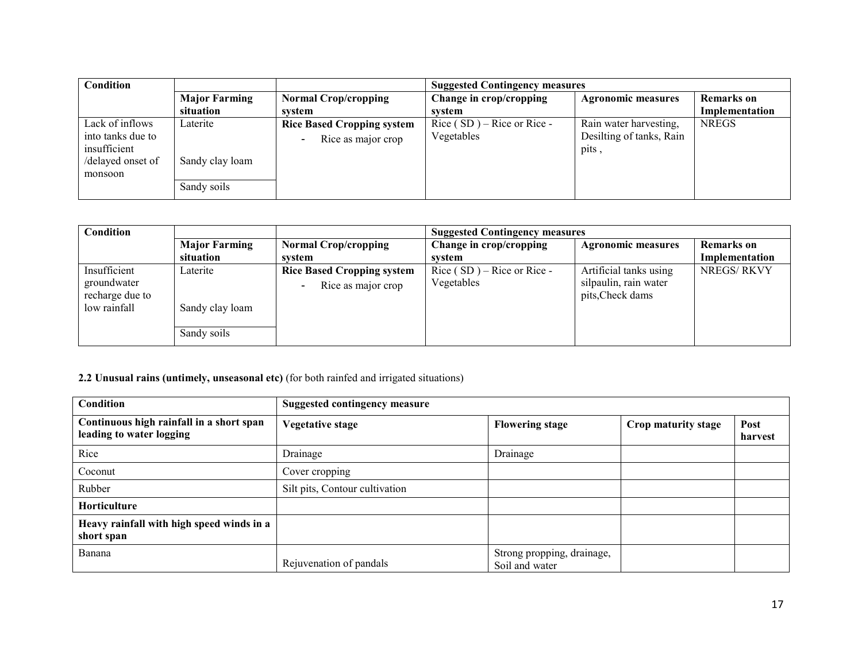| Condition                                    |                                |                                                                                     | <b>Suggested Contingency measures</b>      |                                                    |                   |
|----------------------------------------------|--------------------------------|-------------------------------------------------------------------------------------|--------------------------------------------|----------------------------------------------------|-------------------|
|                                              | <b>Major Farming</b>           | <b>Normal Crop/cropping</b>                                                         | Change in crop/cropping                    | <b>Agronomic measures</b>                          | <b>Remarks</b> on |
|                                              | situation                      | system                                                                              | system                                     |                                                    | Implementation    |
| Lack of inflows<br>into tanks due to         | Laterite                       | <b>Rice Based Cropping system</b><br>Rice as major crop<br>$\overline{\phantom{0}}$ | Rice $(SD)$ – Rice or Rice –<br>Vegetables | Rain water harvesting,<br>Desilting of tanks, Rain | <b>NREGS</b>      |
| insufficient<br>/delayed onset of<br>monsoon | Sandy clay loam<br>Sandy soils |                                                                                     |                                            | pits,                                              |                   |
|                                              |                                |                                                                                     |                                            |                                                    |                   |

| <b>Condition</b>                                               |                                            |                                                         | <b>Suggested Contingency measures</b>      |                                                                     |                                     |
|----------------------------------------------------------------|--------------------------------------------|---------------------------------------------------------|--------------------------------------------|---------------------------------------------------------------------|-------------------------------------|
|                                                                | <b>Major Farming</b><br>situation          | <b>Normal Crop/cropping</b><br>system                   | Change in crop/cropping<br>system          | <b>Agronomic measures</b>                                           | <b>Remarks</b> on<br>Implementation |
| Insufficient<br>groundwater<br>recharge due to<br>low rainfall | Laterite<br>Sandy clay loam<br>Sandy soils | <b>Rice Based Cropping system</b><br>Rice as major crop | Rice $(SD)$ – Rice or Rice –<br>Vegetables | Artificial tanks using<br>silpaulin, rain water<br>pits, Check dams | <b>NREGS/RKVY</b>                   |

## 2.2 Unusual rains (untimely, unseasonal etc) (for both rainfed and irrigated situations)

| <b>Condition</b>                                                     | <b>Suggested contingency measure</b> |                                              |                     |                 |
|----------------------------------------------------------------------|--------------------------------------|----------------------------------------------|---------------------|-----------------|
| Continuous high rainfall in a short span<br>leading to water logging | <b>Vegetative stage</b>              | <b>Flowering stage</b>                       | Crop maturity stage | Post<br>harvest |
| Rice                                                                 | Drainage                             | Drainage                                     |                     |                 |
| Coconut                                                              | Cover cropping                       |                                              |                     |                 |
| Rubber                                                               | Silt pits, Contour cultivation       |                                              |                     |                 |
| <b>Horticulture</b>                                                  |                                      |                                              |                     |                 |
| Heavy rainfall with high speed winds in a<br>short span              |                                      |                                              |                     |                 |
| Banana                                                               | Rejuvenation of pandals              | Strong propping, drainage,<br>Soil and water |                     |                 |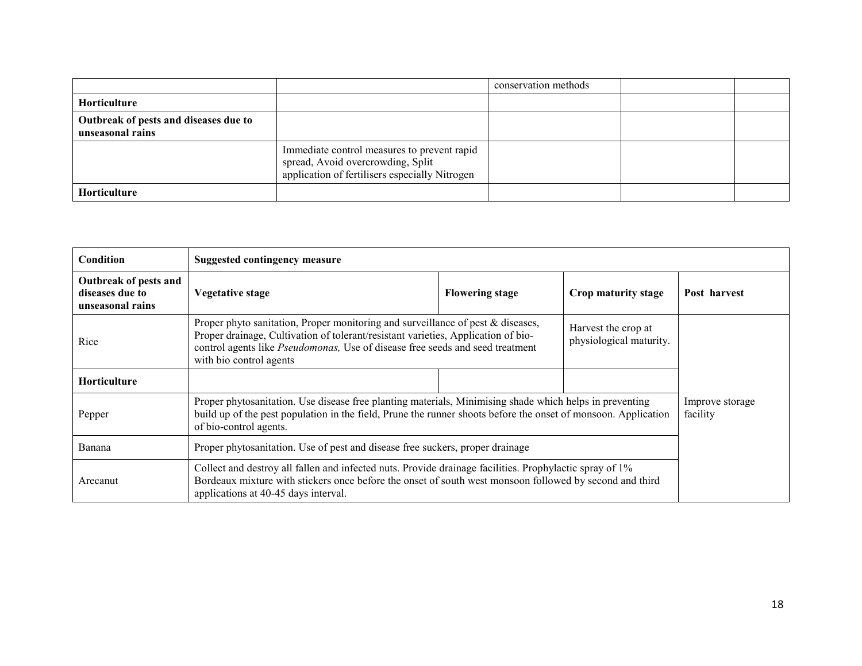|                                                           |                                                                                                                                    | conservation methods |  |
|-----------------------------------------------------------|------------------------------------------------------------------------------------------------------------------------------------|----------------------|--|
| <b>Horticulture</b>                                       |                                                                                                                                    |                      |  |
| Outbreak of pests and diseases due to<br>unseasonal rains |                                                                                                                                    |                      |  |
|                                                           | Immediate control measures to prevent rapid<br>spread, Avoid overcrowding, Split<br>application of fertilisers especially Nitrogen |                      |  |
| Horticulture                                              |                                                                                                                                    |                      |  |

| Condition                                                    | <b>Suggested contingency measure</b>                                                                                                                                                                                                                                                                                               |                        |                     |                             |
|--------------------------------------------------------------|------------------------------------------------------------------------------------------------------------------------------------------------------------------------------------------------------------------------------------------------------------------------------------------------------------------------------------|------------------------|---------------------|-----------------------------|
| Outbreak of pests and<br>diseases due to<br>unseasonal rains | Vegetative stage                                                                                                                                                                                                                                                                                                                   | <b>Flowering stage</b> | Crop maturity stage | Post harvest                |
| Rice                                                         | Proper phyto sanitation, Proper monitoring and surveillance of pest & diseases,<br>Harvest the crop at<br>Proper drainage, Cultivation of tolerant/resistant varieties, Application of bio-<br>physiological maturity.<br>control agents like Pseudomonas, Use of disease free seeds and seed treatment<br>with bio control agents |                        |                     |                             |
| <b>Horticulture</b>                                          |                                                                                                                                                                                                                                                                                                                                    |                        |                     |                             |
| Pepper                                                       | Proper phytosanitation. Use disease free planting materials, Minimising shade which helps in preventing<br>build up of the pest population in the field, Prune the runner shoots before the onset of monsoon. Application<br>of bio-control agents.                                                                                |                        |                     | Improve storage<br>facility |
| Banana                                                       | Proper phytosanitation. Use of pest and disease free suckers, proper drainage                                                                                                                                                                                                                                                      |                        |                     |                             |
| Arecanut                                                     | Collect and destroy all fallen and infected nuts. Provide drainage facilities. Prophylactic spray of 1%<br>Bordeaux mixture with stickers once before the onset of south west monsoon followed by second and third<br>applications at 40-45 days interval.                                                                         |                        |                     |                             |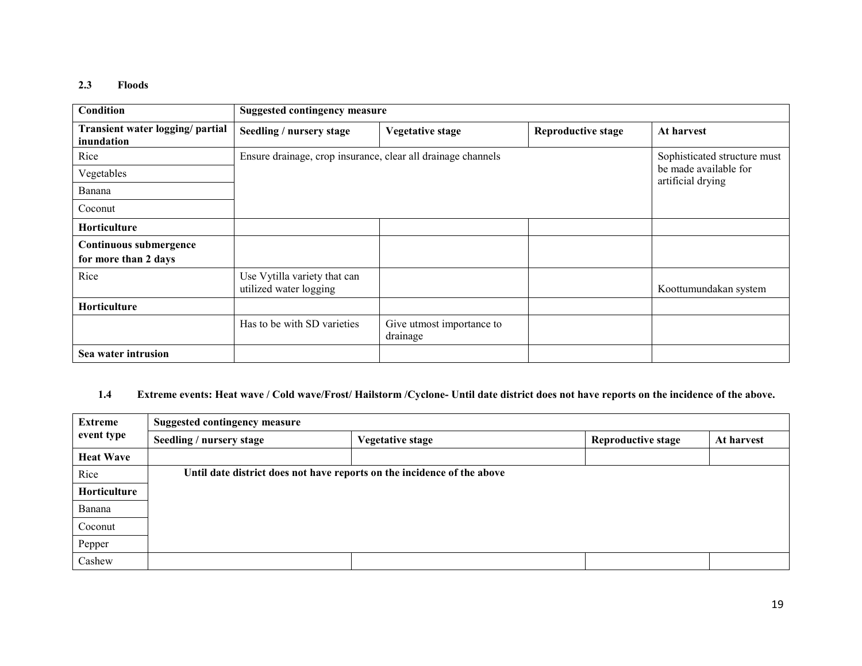#### 2.3 Floods

| <b>Condition</b>                               | <b>Suggested contingency measure</b>                         |                                       |                           |                                            |
|------------------------------------------------|--------------------------------------------------------------|---------------------------------------|---------------------------|--------------------------------------------|
| Transient water logging/ partial<br>inundation | Seedling / nursery stage                                     | <b>Vegetative stage</b>               | <b>Reproductive stage</b> | At harvest                                 |
| Rice                                           | Ensure drainage, crop insurance, clear all drainage channels |                                       |                           | Sophisticated structure must               |
| Vegetables                                     |                                                              |                                       |                           | be made available for<br>artificial drying |
| Banana                                         |                                                              |                                       |                           |                                            |
| Coconut                                        |                                                              |                                       |                           |                                            |
| <b>Horticulture</b>                            |                                                              |                                       |                           |                                            |
| Continuous submergence                         |                                                              |                                       |                           |                                            |
| for more than 2 days                           |                                                              |                                       |                           |                                            |
| Rice                                           | Use Vytilla variety that can<br>utilized water logging       |                                       |                           | Koottumundakan system                      |
| Horticulture                                   |                                                              |                                       |                           |                                            |
|                                                | Has to be with SD varieties                                  | Give utmost importance to<br>drainage |                           |                                            |
| Sea water intrusion                            |                                                              |                                       |                           |                                            |

#### 1.4Extreme events: Heat wave / Cold wave/Frost/ Hailstorm /Cyclone- Until date district does not have reports on the incidence of the above.

| Extreme          | <b>Suggested contingency measure</b>                                    |                         |                           |            |  |  |  |
|------------------|-------------------------------------------------------------------------|-------------------------|---------------------------|------------|--|--|--|
| event type       | Seedling / nursery stage                                                | <b>Vegetative stage</b> | <b>Reproductive stage</b> | At harvest |  |  |  |
| <b>Heat Wave</b> |                                                                         |                         |                           |            |  |  |  |
| Rice             | Until date district does not have reports on the incidence of the above |                         |                           |            |  |  |  |
| Horticulture     |                                                                         |                         |                           |            |  |  |  |
| Banana           |                                                                         |                         |                           |            |  |  |  |
| Coconut          |                                                                         |                         |                           |            |  |  |  |
| Pepper           |                                                                         |                         |                           |            |  |  |  |
| Cashew           |                                                                         |                         |                           |            |  |  |  |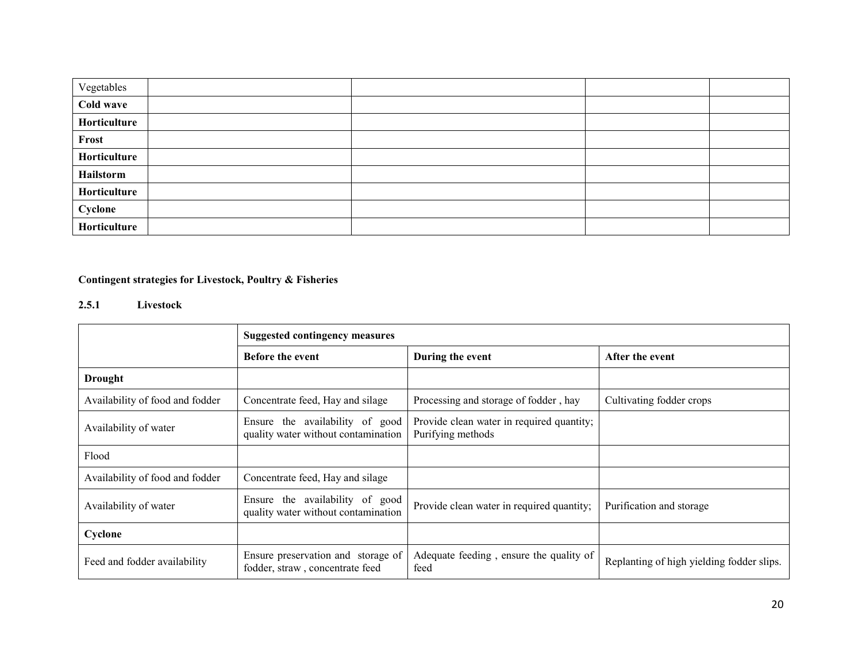| Vegetables   |  |  |
|--------------|--|--|
| Cold wave    |  |  |
| Horticulture |  |  |
| Frost        |  |  |
| Horticulture |  |  |
| Hailstorm    |  |  |
| Horticulture |  |  |
| Cyclone      |  |  |
| Horticulture |  |  |

# Contingent strategies for Livestock, Poultry & Fisheries

### 2.5.1 Livestock

|                                 | <b>Suggested contingency measures</b>                                  |                                                                |                                           |  |  |  |
|---------------------------------|------------------------------------------------------------------------|----------------------------------------------------------------|-------------------------------------------|--|--|--|
|                                 | <b>Before the event</b>                                                | During the event                                               | After the event                           |  |  |  |
| <b>Drought</b>                  |                                                                        |                                                                |                                           |  |  |  |
| Availability of food and fodder | Concentrate feed, Hay and silage                                       | Processing and storage of fodder, hay                          | Cultivating fodder crops                  |  |  |  |
| Availability of water           | Ensure the availability of good<br>quality water without contamination | Provide clean water in required quantity;<br>Purifying methods |                                           |  |  |  |
| Flood                           |                                                                        |                                                                |                                           |  |  |  |
| Availability of food and fodder | Concentrate feed, Hay and silage                                       |                                                                |                                           |  |  |  |
| Availability of water           | Ensure the availability of good<br>quality water without contamination | Provide clean water in required quantity;                      | Purification and storage                  |  |  |  |
| Cyclone                         |                                                                        |                                                                |                                           |  |  |  |
| Feed and fodder availability    | Ensure preservation and storage of<br>fodder, straw, concentrate feed  | Adequate feeding, ensure the quality of<br>feed                | Replanting of high yielding fodder slips. |  |  |  |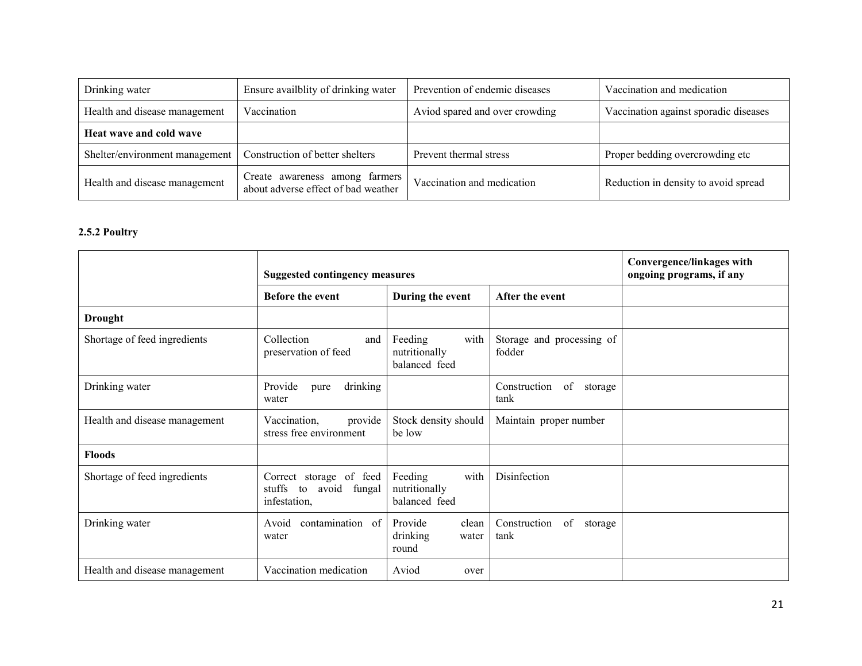| Drinking water                 | Ensure availblity of drinking water                                   | Prevention of endemic diseases | Vaccination and medication            |
|--------------------------------|-----------------------------------------------------------------------|--------------------------------|---------------------------------------|
| Health and disease management  | Vaccination                                                           | Aviod spared and over crowding | Vaccination against sporadic diseases |
| Heat wave and cold wave        |                                                                       |                                |                                       |
| Shelter/environment management | Construction of better shelters                                       | Prevent thermal stress         | Proper bedding overcrowding etc       |
| Health and disease management  | Create awareness among farmers<br>about adverse effect of bad weather | Vaccination and medication     | Reduction in density to avoid spread  |

#### 2.5.2 Poultry

|                               | <b>Suggested contingency measures</b>                                   |                                                   |                                       | Convergence/linkages with<br>ongoing programs, if any |
|-------------------------------|-------------------------------------------------------------------------|---------------------------------------------------|---------------------------------------|-------------------------------------------------------|
|                               | <b>Before the event</b>                                                 | During the event                                  | After the event                       |                                                       |
| <b>Drought</b>                |                                                                         |                                                   |                                       |                                                       |
| Shortage of feed ingredients  | Collection<br>and<br>preservation of feed                               | Feeding<br>with<br>nutritionally<br>balanced feed | Storage and processing of<br>fodder   |                                                       |
| Drinking water                | Provide<br>drinking<br>pure<br>water                                    |                                                   | of<br>Construction<br>storage<br>tank |                                                       |
| Health and disease management | Vaccination,<br>provide<br>stress free environment                      | Stock density should<br>be low                    | Maintain proper number                |                                                       |
| <b>Floods</b>                 |                                                                         |                                                   |                                       |                                                       |
| Shortage of feed ingredients  | Correct storage of feed<br>avoid fungal<br>stuffs<br>to<br>infestation, | Feeding<br>with<br>nutritionally<br>balanced feed | Disinfection                          |                                                       |
| Drinking water                | contamination of<br>Avoid<br>water                                      | Provide<br>clean<br>drinking<br>water<br>round    | Construction<br>of<br>storage<br>tank |                                                       |
| Health and disease management | Vaccination medication                                                  | Aviod<br>over                                     |                                       |                                                       |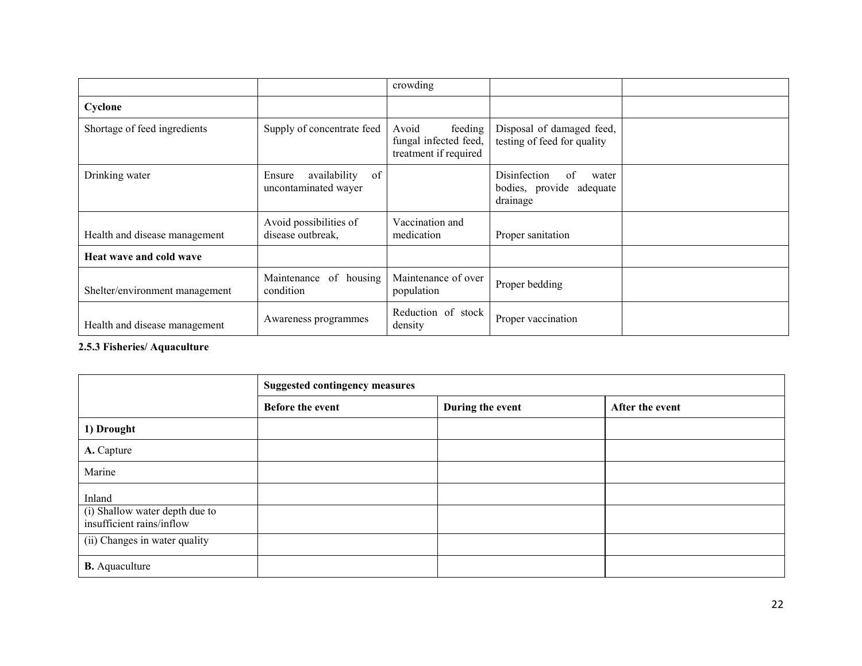|                                |                                                      | crowding                                                           |                                                                     |  |
|--------------------------------|------------------------------------------------------|--------------------------------------------------------------------|---------------------------------------------------------------------|--|
| Cyclone                        |                                                      |                                                                    |                                                                     |  |
| Shortage of feed ingredients   | Supply of concentrate feed                           | feeding<br>Avoid<br>fungal infected feed,<br>treatment if required | Disposal of damaged feed,<br>testing of feed for quality            |  |
| Drinking water                 | of<br>availability<br>Ensure<br>uncontaminated wayer |                                                                    | Disinfection<br>of<br>water<br>bodies, provide adequate<br>drainage |  |
| Health and disease management  | Avoid possibilities of<br>disease outbreak.          | Vaccination and<br>medication                                      | Proper sanitation                                                   |  |
| Heat wave and cold wave        |                                                      |                                                                    |                                                                     |  |
| Shelter/environment management | Maintenance of housing<br>condition                  | Maintenance of over<br>population                                  | Proper bedding                                                      |  |
| Health and disease management  | Awareness programmes                                 | Reduction of stock<br>density                                      | Proper vaccination                                                  |  |

2.5.3 Fisheries/ Aquaculture

|                                                             | <b>Suggested contingency measures</b> |                  |                 |  |
|-------------------------------------------------------------|---------------------------------------|------------------|-----------------|--|
|                                                             | <b>Before the event</b>               | During the event | After the event |  |
| 1) Drought                                                  |                                       |                  |                 |  |
| A. Capture                                                  |                                       |                  |                 |  |
| Marine                                                      |                                       |                  |                 |  |
| Inland                                                      |                                       |                  |                 |  |
| (i) Shallow water depth due to<br>insufficient rains/inflow |                                       |                  |                 |  |
| (ii) Changes in water quality                               |                                       |                  |                 |  |
| <b>B.</b> Aquaculture                                       |                                       |                  |                 |  |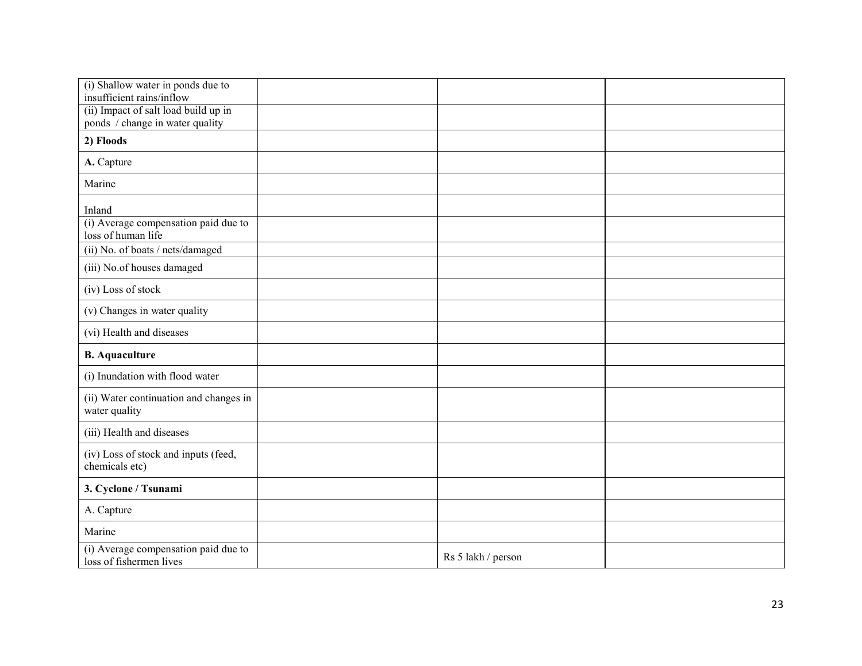| (i) Shallow water in ponds due to<br>insufficient rains/inflow          |                    |  |
|-------------------------------------------------------------------------|--------------------|--|
| (ii) Impact of salt load build up in<br>ponds / change in water quality |                    |  |
| 2) Floods                                                               |                    |  |
| A. Capture                                                              |                    |  |
| Marine                                                                  |                    |  |
| Inland                                                                  |                    |  |
| (i) Average compensation paid due to<br>loss of human life              |                    |  |
| (ii) No. of boats / nets/damaged                                        |                    |  |
| (iii) No.of houses damaged                                              |                    |  |
| (iv) Loss of stock                                                      |                    |  |
| (v) Changes in water quality                                            |                    |  |
| (vi) Health and diseases                                                |                    |  |
| <b>B.</b> Aquaculture                                                   |                    |  |
| (i) Inundation with flood water                                         |                    |  |
| (ii) Water continuation and changes in<br>water quality                 |                    |  |
| (iii) Health and diseases                                               |                    |  |
| (iv) Loss of stock and inputs (feed,<br>chemicals etc)                  |                    |  |
| 3. Cyclone / Tsunami                                                    |                    |  |
| A. Capture                                                              |                    |  |
| Marine                                                                  |                    |  |
| (i) Average compensation paid due to<br>loss of fishermen lives         | Rs 5 lakh / person |  |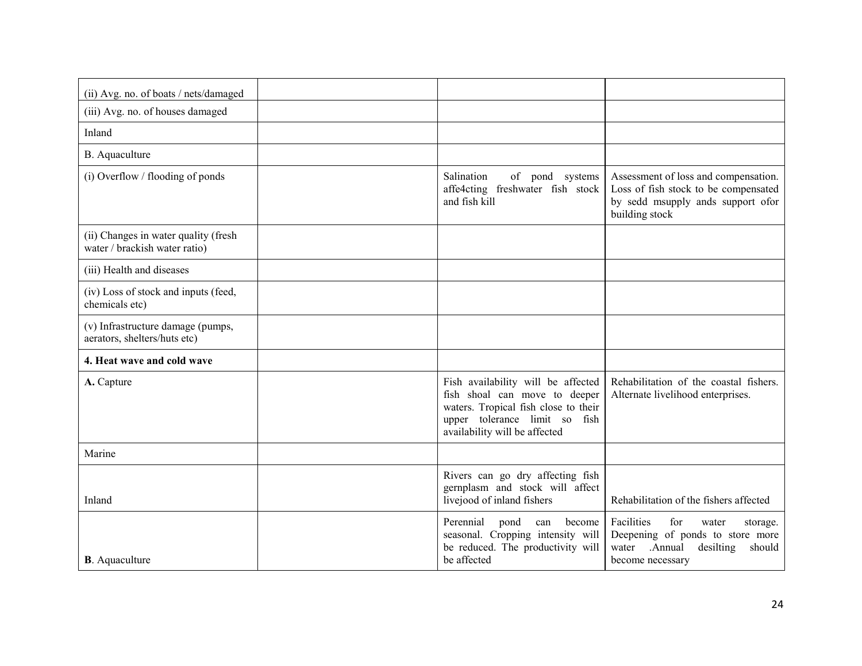| (ii) Avg. no. of boats / nets/damaged                                 |                                                                                                                                                                               |                                                                                                                                           |
|-----------------------------------------------------------------------|-------------------------------------------------------------------------------------------------------------------------------------------------------------------------------|-------------------------------------------------------------------------------------------------------------------------------------------|
| (iii) Avg. no. of houses damaged                                      |                                                                                                                                                                               |                                                                                                                                           |
| Inland                                                                |                                                                                                                                                                               |                                                                                                                                           |
| B. Aquaculture                                                        |                                                                                                                                                                               |                                                                                                                                           |
| (i) Overflow / flooding of ponds                                      | Salination<br>of pond systems<br>affe4cting freshwater fish stock<br>and fish kill                                                                                            | Assessment of loss and compensation.<br>Loss of fish stock to be compensated<br>by sedd msupply ands support ofor<br>building stock       |
| (ii) Changes in water quality (fresh<br>water / brackish water ratio) |                                                                                                                                                                               |                                                                                                                                           |
| (iii) Health and diseases                                             |                                                                                                                                                                               |                                                                                                                                           |
| (iv) Loss of stock and inputs (feed,<br>chemicals etc)                |                                                                                                                                                                               |                                                                                                                                           |
| (v) Infrastructure damage (pumps,<br>aerators, shelters/huts etc)     |                                                                                                                                                                               |                                                                                                                                           |
| 4. Heat wave and cold wave                                            |                                                                                                                                                                               |                                                                                                                                           |
| A. Capture                                                            | Fish availability will be affected<br>fish shoal can move to deeper<br>waters. Tropical fish close to their<br>upper tolerance limit so fish<br>availability will be affected | Rehabilitation of the coastal fishers.<br>Alternate livelihood enterprises.                                                               |
| Marine                                                                |                                                                                                                                                                               |                                                                                                                                           |
| Inland                                                                | Rivers can go dry affecting fish<br>gernplasm and stock will affect<br>livejood of inland fishers                                                                             | Rehabilitation of the fishers affected                                                                                                    |
| <b>B</b> . Aquaculture                                                | Perennial<br>become<br>pond<br>can<br>seasonal. Cropping intensity will<br>be reduced. The productivity will<br>be affected                                                   | Facilities<br>for<br>water<br>storage.<br>Deepening of ponds to store more<br>.Annual<br>desilting<br>should<br>water<br>become necessary |